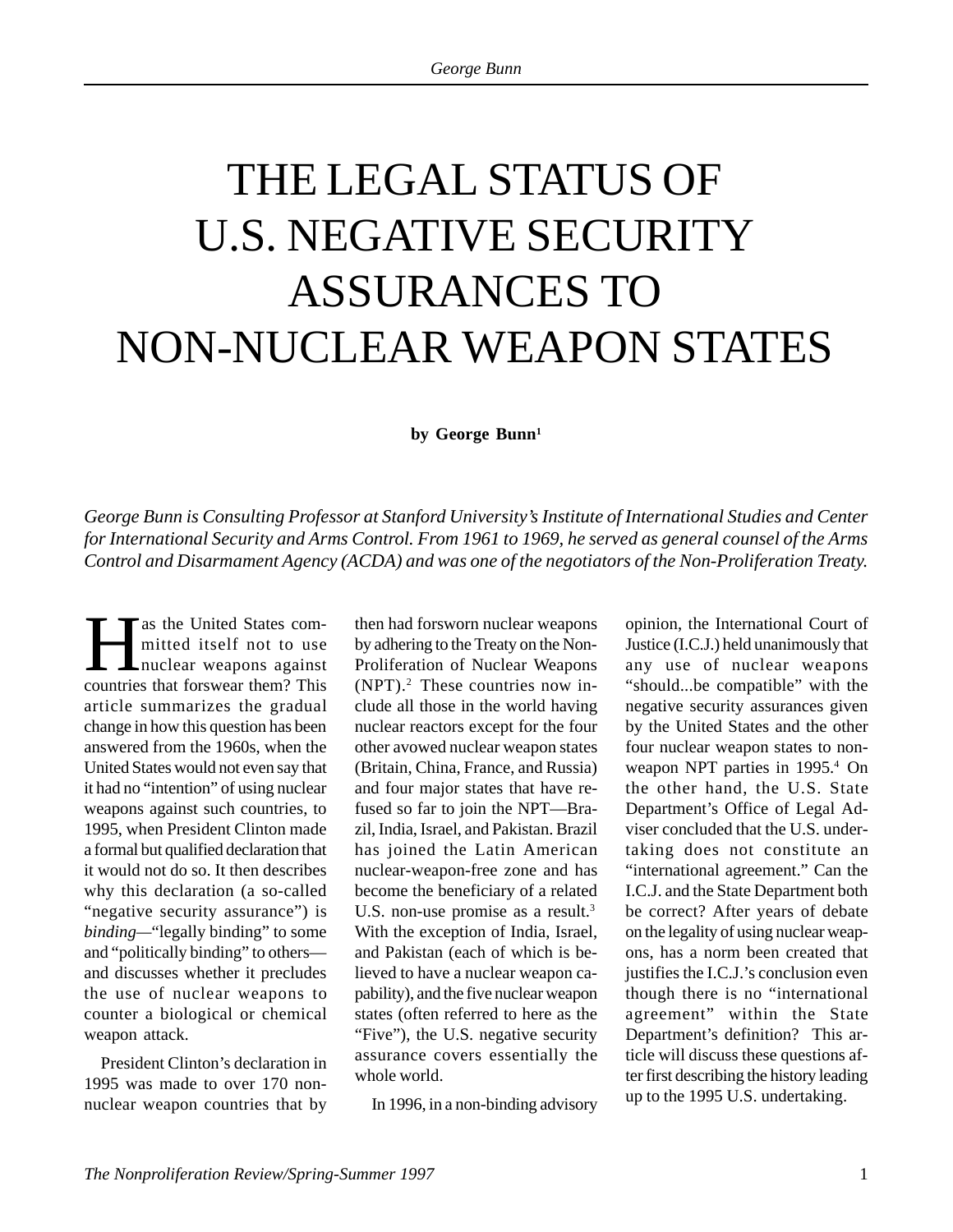# THE LEGAL STATUS OF U.S. NEGATIVE SECURITY ASSURANCES TO NON-NUCLEAR WEAPON STATES

**by George Bunn1**

*George Bunn is Consulting Professor at Stanford University's Institute of International Studies and Center for International Security and Arms Control. From 1961 to 1969, he served as general counsel of the Arms Control and Disarmament Agency (ACDA) and was one of the negotiators of the Non-Proliferation Treaty.*

as the United States com-<br>
mitted itself not to use<br>
nuclear weapons against<br>
countries that forswear them? This mitted itself not to use nuclear weapons against article summarizes the gradual change in how this question has been answered from the 1960s, when the United States would not even say that it had no "intention" of using nuclear weapons against such countries, to 1995, when President Clinton made a formal but qualified declaration that it would not do so. It then describes why this declaration (a so-called "negative security assurance") is *binding—*"legally binding" to some and "politically binding" to others and discusses whether it precludes the use of nuclear weapons to counter a biological or chemical weapon attack.

President Clinton's declaration in 1995 was made to over 170 nonnuclear weapon countries that by

then had forsworn nuclear weapons by adhering to the Treaty on the Non-Proliferation of Nuclear Weapons (NPT).2 These countries now include all those in the world having nuclear reactors except for the four other avowed nuclear weapon states (Britain, China, France, and Russia) and four major states that have refused so far to join the NPT—Brazil, India, Israel, and Pakistan. Brazil has joined the Latin American nuclear-weapon-free zone and has become the beneficiary of a related U.S. non-use promise as a result.<sup>3</sup> With the exception of India, Israel, and Pakistan (each of which is believed to have a nuclear weapon capability), and the five nuclear weapon states (often referred to here as the "Five"), the U.S. negative security assurance covers essentially the whole world.

In 1996, in a non-binding advisory

opinion, the International Court of Justice (I.C.J.) held unanimously that any use of nuclear weapons "should...be compatible" with the negative security assurances given by the United States and the other four nuclear weapon states to nonweapon NPT parties in 1995.<sup>4</sup> On the other hand, the U.S. State Department's Office of Legal Adviser concluded that the U.S. undertaking does not constitute an "international agreement." Can the I.C.J. and the State Department both be correct? After years of debate on the legality of using nuclear weapons, has a norm been created that justifies the I.C.J.'s conclusion even though there is no "international agreement" within the State Department's definition? This article will discuss these questions after first describing the history leading up to the 1995 U.S. undertaking.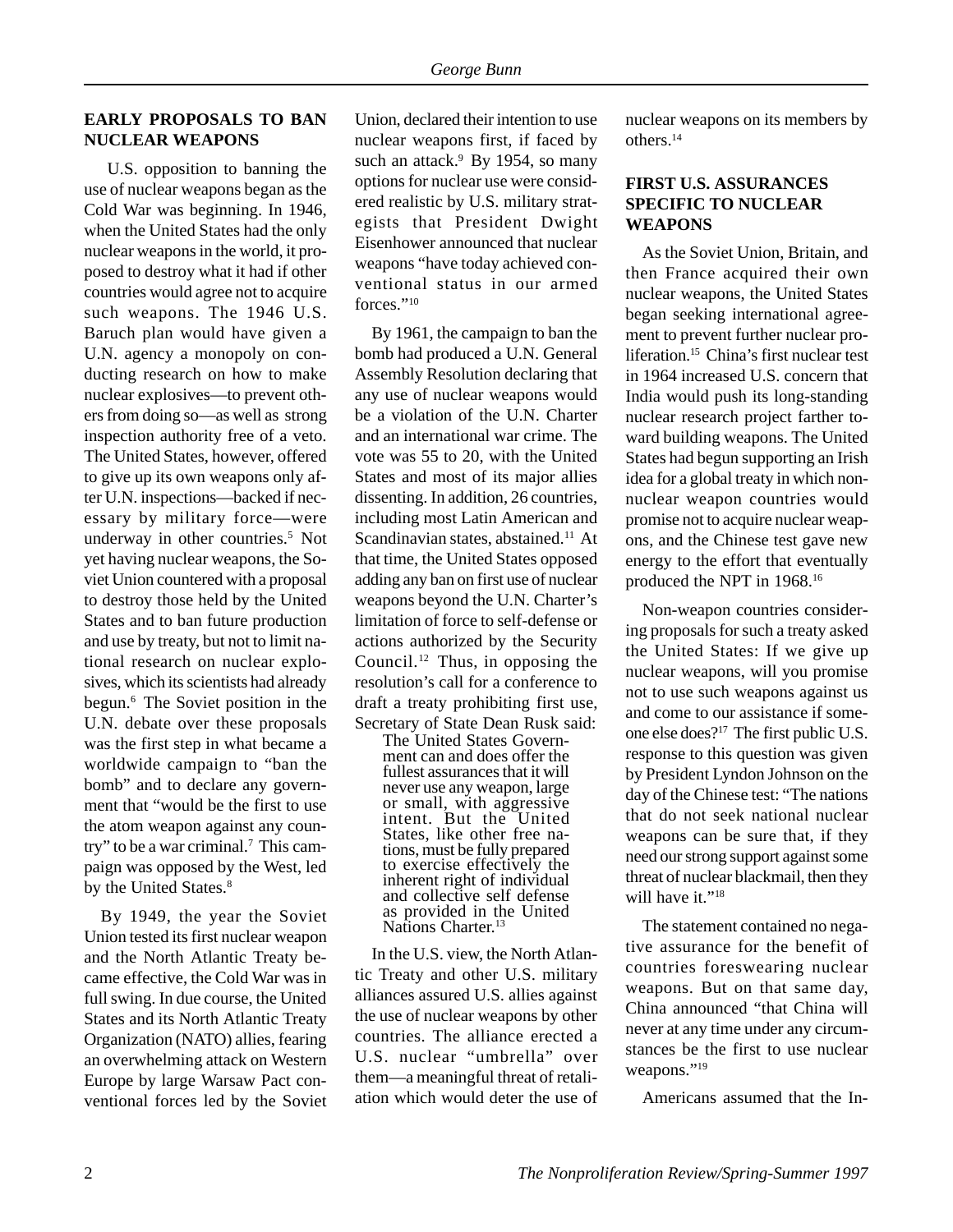# **EARLY PROPOSALS TO BAN NUCLEAR WEAPONS**

 U.S. opposition to banning the use of nuclear weapons began as the Cold War was beginning. In 1946, when the United States had the only nuclear weapons in the world, it proposed to destroy what it had if other countries would agree not to acquire such weapons. The 1946 U.S. Baruch plan would have given a U.N. agency a monopoly on conducting research on how to make nuclear explosives—to prevent others from doing so—as well as strong inspection authority free of a veto. The United States, however, offered to give up its own weapons only after U.N. inspections—backed if necessary by military force—were underway in other countries.<sup>5</sup> Not yet having nuclear weapons, the Soviet Union countered with a proposal to destroy those held by the United States and to ban future production and use by treaty, but not to limit national research on nuclear explosives, which its scientists had already begun.6 The Soviet position in the U.N. debate over these proposals was the first step in what became a worldwide campaign to "ban the bomb" and to declare any government that "would be the first to use the atom weapon against any country" to be a war criminal. $^7$  This campaign was opposed by the West, led by the United States.<sup>8</sup>

By 1949, the year the Soviet Union tested its first nuclear weapon and the North Atlantic Treaty became effective, the Cold War was in full swing. In due course, the United States and its North Atlantic Treaty Organization (NATO) allies, fearing an overwhelming attack on Western Europe by large Warsaw Pact conventional forces led by the Soviet

Union, declared their intention to use nuclear weapons first, if faced by such an attack.<sup>9</sup> By 1954, so many options for nuclear use were considered realistic by U.S. military strategists that President Dwight Eisenhower announced that nuclear weapons "have today achieved conventional status in our armed forces."10

By 1961, the campaign to ban the bomb had produced a U.N. General Assembly Resolution declaring that any use of nuclear weapons would be a violation of the U.N. Charter and an international war crime. The vote was 55 to 20, with the United States and most of its major allies dissenting. In addition, 26 countries, including most Latin American and Scandinavian states, abstained.<sup>11</sup> At that time, the United States opposed adding any ban on first use of nuclear weapons beyond the U.N. Charter's limitation of force to self-defense or actions authorized by the Security Council.<sup>12</sup> Thus, in opposing the resolution's call for a conference to draft a treaty prohibiting first use, Secretary of State Dean Rusk said:

The United States Government can and does offer the fullest assurances that it will never use any weapon, large or small, with aggressive intent. But the United States, like other free nations, must be fully prepared to exercise effectively the inherent right of individual and collective self defense as provided in the United Nations Charter.<sup>13</sup>

In the U.S. view, the North Atlantic Treaty and other U.S. military alliances assured U.S. allies against the use of nuclear weapons by other countries. The alliance erected a U.S. nuclear "umbrella" over them—a meaningful threat of retaliation which would deter the use of nuclear weapons on its members by others.14

## **FIRST U.S. ASSURANCES SPECIFIC TO NUCLEAR WEAPONS**

As the Soviet Union, Britain, and then France acquired their own nuclear weapons, the United States began seeking international agreement to prevent further nuclear proliferation.15 China's first nuclear test in 1964 increased U.S. concern that India would push its long-standing nuclear research project farther toward building weapons. The United States had begun supporting an Irish idea for a global treaty in which nonnuclear weapon countries would promise not to acquire nuclear weapons, and the Chinese test gave new energy to the effort that eventually produced the NPT in 1968.16

Non-weapon countries considering proposals for such a treaty asked the United States: If we give up nuclear weapons, will you promise not to use such weapons against us and come to our assistance if someone else does?17 The first public U.S. response to this question was given by President Lyndon Johnson on the day of the Chinese test: "The nations that do not seek national nuclear weapons can be sure that, if they need our strong support against some threat of nuclear blackmail, then they will have it."<sup>18</sup>

The statement contained no negative assurance for the benefit of countries foreswearing nuclear weapons. But on that same day, China announced "that China will never at any time under any circumstances be the first to use nuclear weapons."<sup>19</sup>

Americans assumed that the In-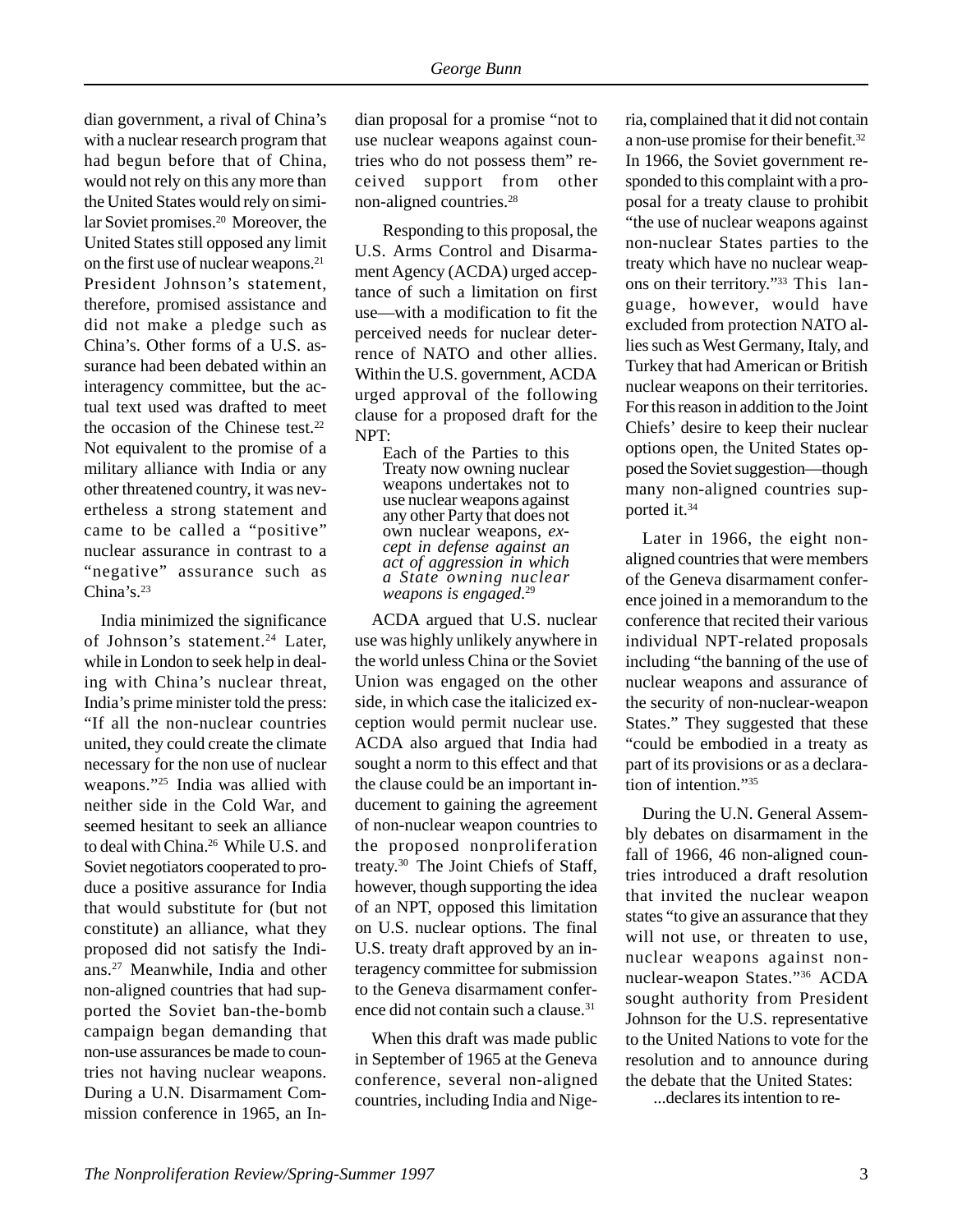dian government, a rival of China's with a nuclear research program that had begun before that of China, would not rely on this any more than the United States would rely on similar Soviet promises.20 Moreover, the United States still opposed any limit on the first use of nuclear weapons.21 President Johnson's statement, therefore, promised assistance and did not make a pledge such as China's. Other forms of a U.S. assurance had been debated within an interagency committee, but the actual text used was drafted to meet the occasion of the Chinese test.<sup>22</sup> Not equivalent to the promise of a military alliance with India or any other threatened country, it was nevertheless a strong statement and came to be called a "positive" nuclear assurance in contrast to a "negative" assurance such as China's.<sup>23</sup>

India minimized the significance of Johnson's statement.<sup>24</sup> Later, while in London to seek help in dealing with China's nuclear threat, India's prime minister told the press: "If all the non-nuclear countries united, they could create the climate necessary for the non use of nuclear weapons."25 India was allied with neither side in the Cold War, and seemed hesitant to seek an alliance to deal with China.<sup>26</sup> While U.S. and Soviet negotiators cooperated to produce a positive assurance for India that would substitute for (but not constitute) an alliance, what they proposed did not satisfy the Indians.27 Meanwhile, India and other non-aligned countries that had supported the Soviet ban-the-bomb campaign began demanding that non-use assurances be made to countries not having nuclear weapons. During a U.N. Disarmament Commission conference in 1965, an Indian proposal for a promise "not to use nuclear weapons against countries who do not possess them" received support from other non-aligned countries.28

Responding to this proposal, the U.S. Arms Control and Disarmament Agency (ACDA) urged acceptance of such a limitation on first use—with a modification to fit the perceived needs for nuclear deterrence of NATO and other allies. Within the U.S. government, ACDA urged approval of the following clause for a proposed draft for the NPT:

Each of the Parties to this Treaty now owning nuclear weapons undertakes not to use nuclear weapons against any other Party that does not own nuclear weapons, *except in defense against an act of aggression in which a State owning nuclear weapons is engaged*. 29

ACDA argued that U.S. nuclear use was highly unlikely anywhere in the world unless China or the Soviet Union was engaged on the other side, in which case the italicized exception would permit nuclear use. ACDA also argued that India had sought a norm to this effect and that the clause could be an important inducement to gaining the agreement of non-nuclear weapon countries to the proposed nonproliferation treaty.30 The Joint Chiefs of Staff, however, though supporting the idea of an NPT, opposed this limitation on U.S. nuclear options. The final U.S. treaty draft approved by an interagency committee for submission to the Geneva disarmament conference did not contain such a clause.<sup>31</sup>

When this draft was made public in September of 1965 at the Geneva conference, several non-aligned countries, including India and Nigeria, complained that it did not contain a non-use promise for their benefit.<sup>32</sup> In 1966, the Soviet government responded to this complaint with a proposal for a treaty clause to prohibit "the use of nuclear weapons against non-nuclear States parties to the treaty which have no nuclear weapons on their territory."33 This language, however, would have excluded from protection NATO allies such as West Germany, Italy, and Turkey that had American or British nuclear weapons on their territories. For this reason in addition to the Joint Chiefs' desire to keep their nuclear options open, the United States opposed the Soviet suggestion—though many non-aligned countries supported it.34

Later in 1966, the eight nonaligned countries that were members of the Geneva disarmament conference joined in a memorandum to the conference that recited their various individual NPT-related proposals including "the banning of the use of nuclear weapons and assurance of the security of non-nuclear-weapon States." They suggested that these "could be embodied in a treaty as part of its provisions or as a declaration of intention."35

During the U.N. General Assembly debates on disarmament in the fall of 1966, 46 non-aligned countries introduced a draft resolution that invited the nuclear weapon states "to give an assurance that they will not use, or threaten to use, nuclear weapons against nonnuclear-weapon States."36 ACDA sought authority from President Johnson for the U.S. representative to the United Nations to vote for the resolution and to announce during the debate that the United States:

...declares its intention to re-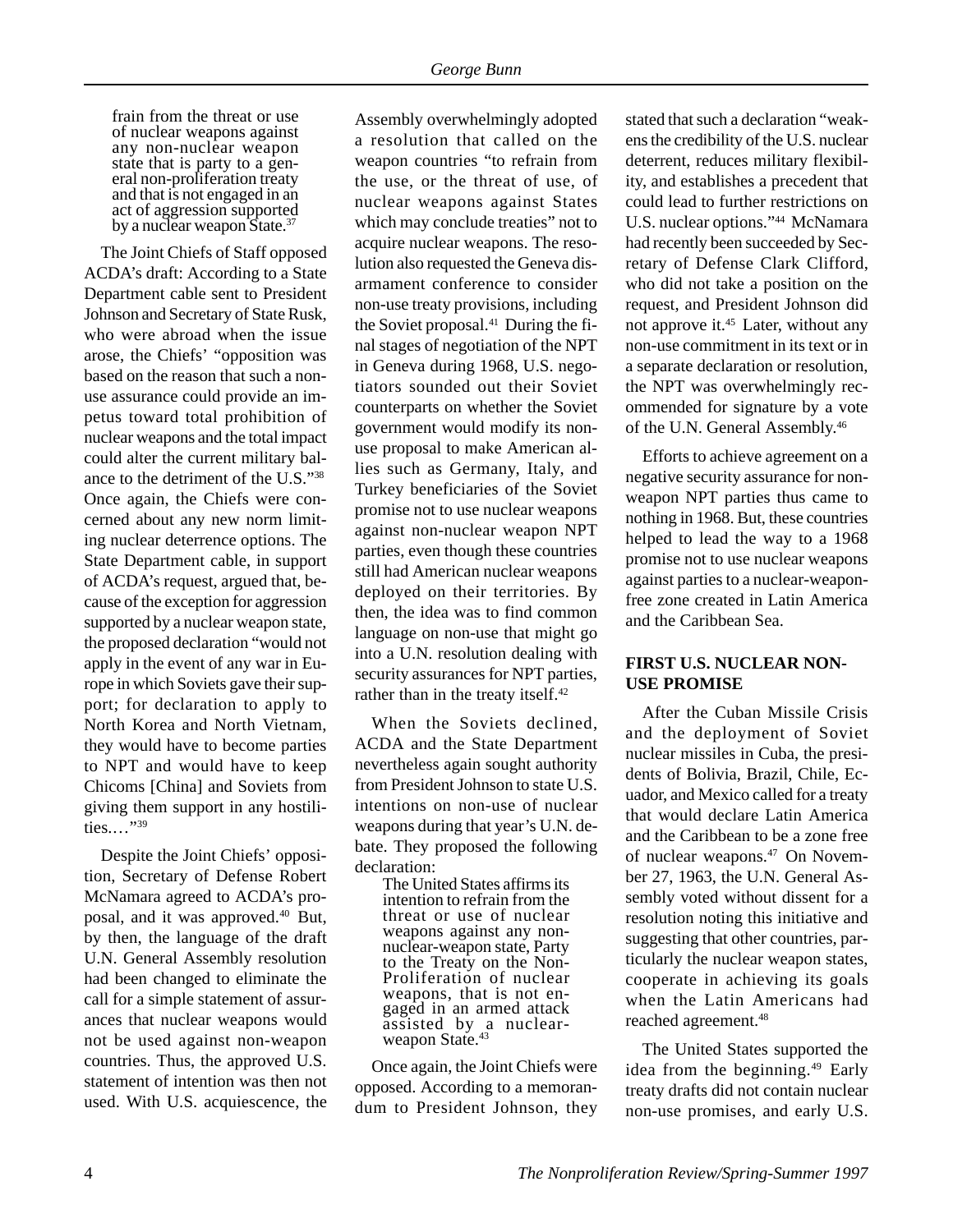frain from the threat or use of nuclear weapons against any non-nuclear weapon state that is party to a general non-proliferation treaty and that is not engaged in an act of aggression supported by a nuclear weapon State.<sup>37</sup>

The Joint Chiefs of Staff opposed ACDA's draft: According to a State Department cable sent to President Johnson and Secretary of State Rusk, who were abroad when the issue arose, the Chiefs' "opposition was based on the reason that such a nonuse assurance could provide an impetus toward total prohibition of nuclear weapons and the total impact could alter the current military balance to the detriment of the U.S."38 Once again, the Chiefs were concerned about any new norm limiting nuclear deterrence options. The State Department cable, in support of ACDA's request, argued that, because of the exception for aggression supported by a nuclear weapon state, the proposed declaration "would not apply in the event of any war in Europe in which Soviets gave their support; for declaration to apply to North Korea and North Vietnam, they would have to become parties to NPT and would have to keep Chicoms [China] and Soviets from giving them support in any hostilities.…"39

Despite the Joint Chiefs' opposition, Secretary of Defense Robert McNamara agreed to ACDA's proposal, and it was approved.40 But, by then, the language of the draft U.N. General Assembly resolution had been changed to eliminate the call for a simple statement of assurances that nuclear weapons would not be used against non-weapon countries. Thus, the approved U.S. statement of intention was then not used. With U.S. acquiescence, the

Assembly overwhelmingly adopted a resolution that called on the weapon countries "to refrain from the use, or the threat of use, of nuclear weapons against States which may conclude treaties" not to acquire nuclear weapons. The resolution also requested the Geneva disarmament conference to consider non-use treaty provisions, including the Soviet proposal.41 During the final stages of negotiation of the NPT in Geneva during 1968, U.S. negotiators sounded out their Soviet counterparts on whether the Soviet government would modify its nonuse proposal to make American allies such as Germany, Italy, and Turkey beneficiaries of the Soviet promise not to use nuclear weapons against non-nuclear weapon NPT parties, even though these countries still had American nuclear weapons deployed on their territories. By then, the idea was to find common language on non-use that might go into a U.N. resolution dealing with security assurances for NPT parties, rather than in the treaty itself.<sup>42</sup>

When the Soviets declined, ACDA and the State Department nevertheless again sought authority from President Johnson to state U.S. intentions on non-use of nuclear weapons during that year's U.N. debate. They proposed the following declaration:

> The United States affirms its intention to refrain from the threat or use of nuclear weapons against any nonnuclear-weapon state, Party to the Treaty on the Non-Proliferation of nuclear weapons, that is not engaged in an armed attack assisted by a nuclearweapon State.<sup>43</sup>

Once again, the Joint Chiefs were opposed. According to a memorandum to President Johnson, they stated that such a declaration "weakens the credibility of the U.S. nuclear deterrent, reduces military flexibility, and establishes a precedent that could lead to further restrictions on U.S. nuclear options."44 McNamara had recently been succeeded by Secretary of Defense Clark Clifford, who did not take a position on the request, and President Johnson did not approve it.45 Later, without any non-use commitment in its text or in a separate declaration or resolution, the NPT was overwhelmingly recommended for signature by a vote of the U.N. General Assembly.46

Efforts to achieve agreement on a negative security assurance for nonweapon NPT parties thus came to nothing in 1968. But, these countries helped to lead the way to a 1968 promise not to use nuclear weapons against parties to a nuclear-weaponfree zone created in Latin America and the Caribbean Sea.

### **FIRST U.S. NUCLEAR NON-USE PROMISE**

After the Cuban Missile Crisis and the deployment of Soviet nuclear missiles in Cuba, the presidents of Bolivia, Brazil, Chile, Ecuador, and Mexico called for a treaty that would declare Latin America and the Caribbean to be a zone free of nuclear weapons.47 On November 27, 1963, the U.N. General Assembly voted without dissent for a resolution noting this initiative and suggesting that other countries, particularly the nuclear weapon states, cooperate in achieving its goals when the Latin Americans had reached agreement.48

The United States supported the idea from the beginning.49 Early treaty drafts did not contain nuclear non-use promises, and early U.S.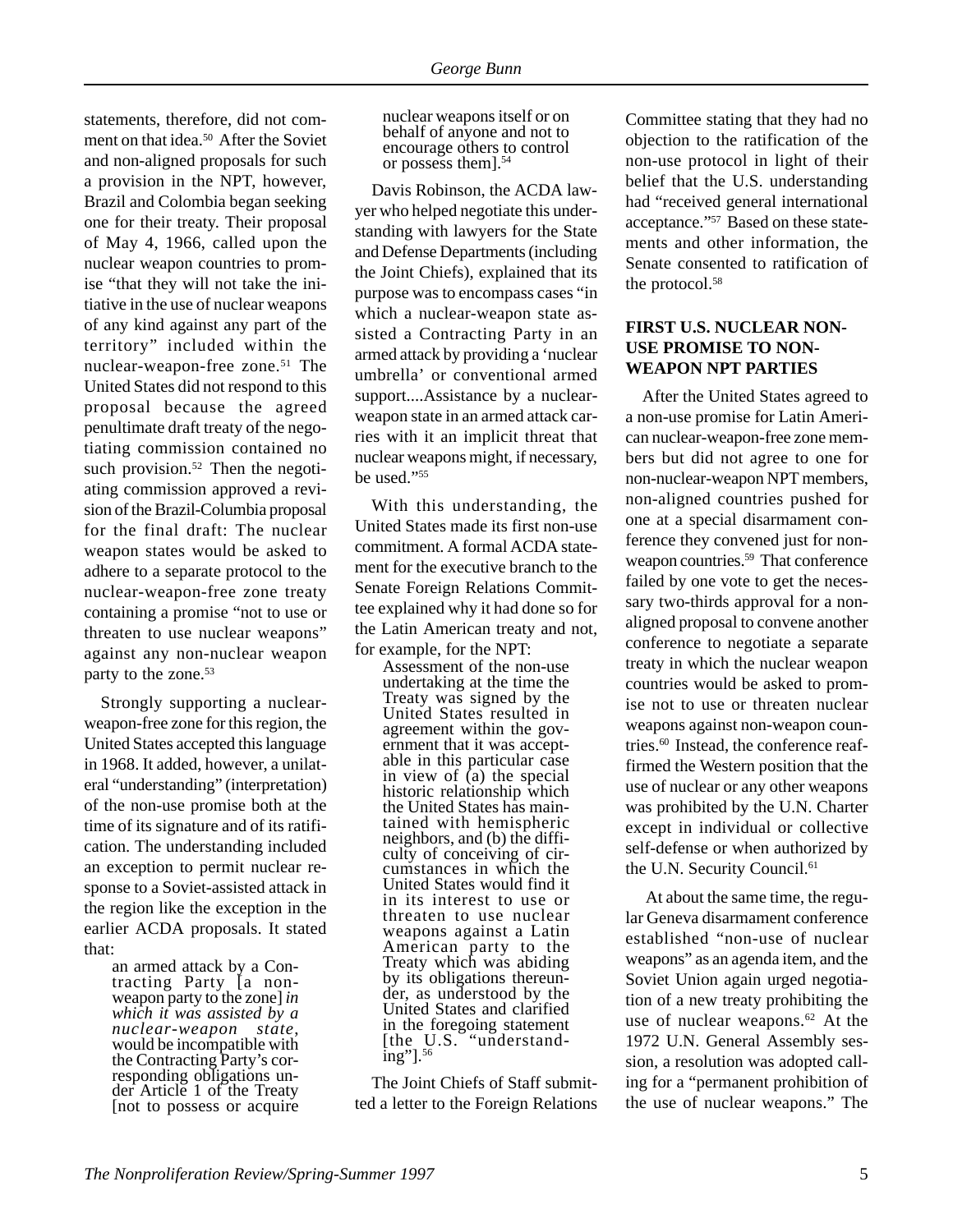statements, therefore, did not comment on that idea.50 After the Soviet and non-aligned proposals for such a provision in the NPT, however, Brazil and Colombia began seeking one for their treaty. Their proposal of May 4, 1966, called upon the nuclear weapon countries to promise "that they will not take the initiative in the use of nuclear weapons of any kind against any part of the territory" included within the nuclear-weapon-free zone.<sup>51</sup> The United States did not respond to this proposal because the agreed penultimate draft treaty of the negotiating commission contained no such provision. $52$  Then the negotiating commission approved a revision of the Brazil-Columbia proposal for the final draft: The nuclear weapon states would be asked to adhere to a separate protocol to the nuclear-weapon-free zone treaty containing a promise "not to use or threaten to use nuclear weapons" against any non-nuclear weapon party to the zone.<sup>53</sup>

Strongly supporting a nuclearweapon-free zone for this region, the United States accepted this language in 1968. It added, however, a unilateral "understanding" (interpretation) of the non-use promise both at the time of its signature and of its ratification. The understanding included an exception to permit nuclear response to a Soviet-assisted attack in the region like the exception in the earlier ACDA proposals. It stated that:

an armed attack by a Contracting Party [a nonweapon party to the zone] *in which it was assisted by a nuclear-weapon state*, would be incompatible with the Contracting Party's corresponding obligations under Article 1 of the Treaty [not to possess or acquire nuclear weapons itself or on behalf of anyone and not to encourage others to control or possess them].<sup>54</sup>

Davis Robinson, the ACDA lawyer who helped negotiate this understanding with lawyers for the State and Defense Departments (including the Joint Chiefs), explained that its purpose was to encompass cases "in which a nuclear-weapon state assisted a Contracting Party in an armed attack by providing a 'nuclear umbrella' or conventional armed support....Assistance by a nuclearweapon state in an armed attack carries with it an implicit threat that nuclear weapons might, if necessary, be used."55

With this understanding, the United States made its first non-use commitment. A formal ACDA statement for the executive branch to the Senate Foreign Relations Committee explained why it had done so for the Latin American treaty and not, for example, for the NPT:

Assessment of the non-use undertaking at the time the Treaty was signed by the United States resulted in agreement within the government that it was acceptable in this particular case in view of (a) the special historic relationship which the United States has maintained with hemispheric neighbors, and (b) the difficulty of conceiving of circumstances in which the United States would find it in its interest to use or threaten to use nuclear weapons against a Latin American party to the Treaty which was abiding by its obligations thereunder, as understood by the United States and clarified in the foregoing statement [the U.S. "understanding"].56

The Joint Chiefs of Staff submitted a letter to the Foreign Relations

Committee stating that they had no objection to the ratification of the non-use protocol in light of their belief that the U.S. understanding had "received general international acceptance."57 Based on these statements and other information, the Senate consented to ratification of the protocol.<sup>58</sup>

# **FIRST U.S. NUCLEAR NON-USE PROMISE TO NON-WEAPON NPT PARTIES**

After the United States agreed to a non-use promise for Latin American nuclear-weapon-free zone members but did not agree to one for non-nuclear-weapon NPT members, non-aligned countries pushed for one at a special disarmament conference they convened just for nonweapon countries.<sup>59</sup> That conference failed by one vote to get the necessary two-thirds approval for a nonaligned proposal to convene another conference to negotiate a separate treaty in which the nuclear weapon countries would be asked to promise not to use or threaten nuclear weapons against non-weapon countries.<sup>60</sup> Instead, the conference reaffirmed the Western position that the use of nuclear or any other weapons was prohibited by the U.N. Charter except in individual or collective self-defense or when authorized by the U.N. Security Council.<sup>61</sup>

 At about the same time, the regular Geneva disarmament conference established "non-use of nuclear weapons" as an agenda item, and the Soviet Union again urged negotiation of a new treaty prohibiting the use of nuclear weapons.<sup>62</sup> At the 1972 U.N. General Assembly session, a resolution was adopted calling for a "permanent prohibition of the use of nuclear weapons." The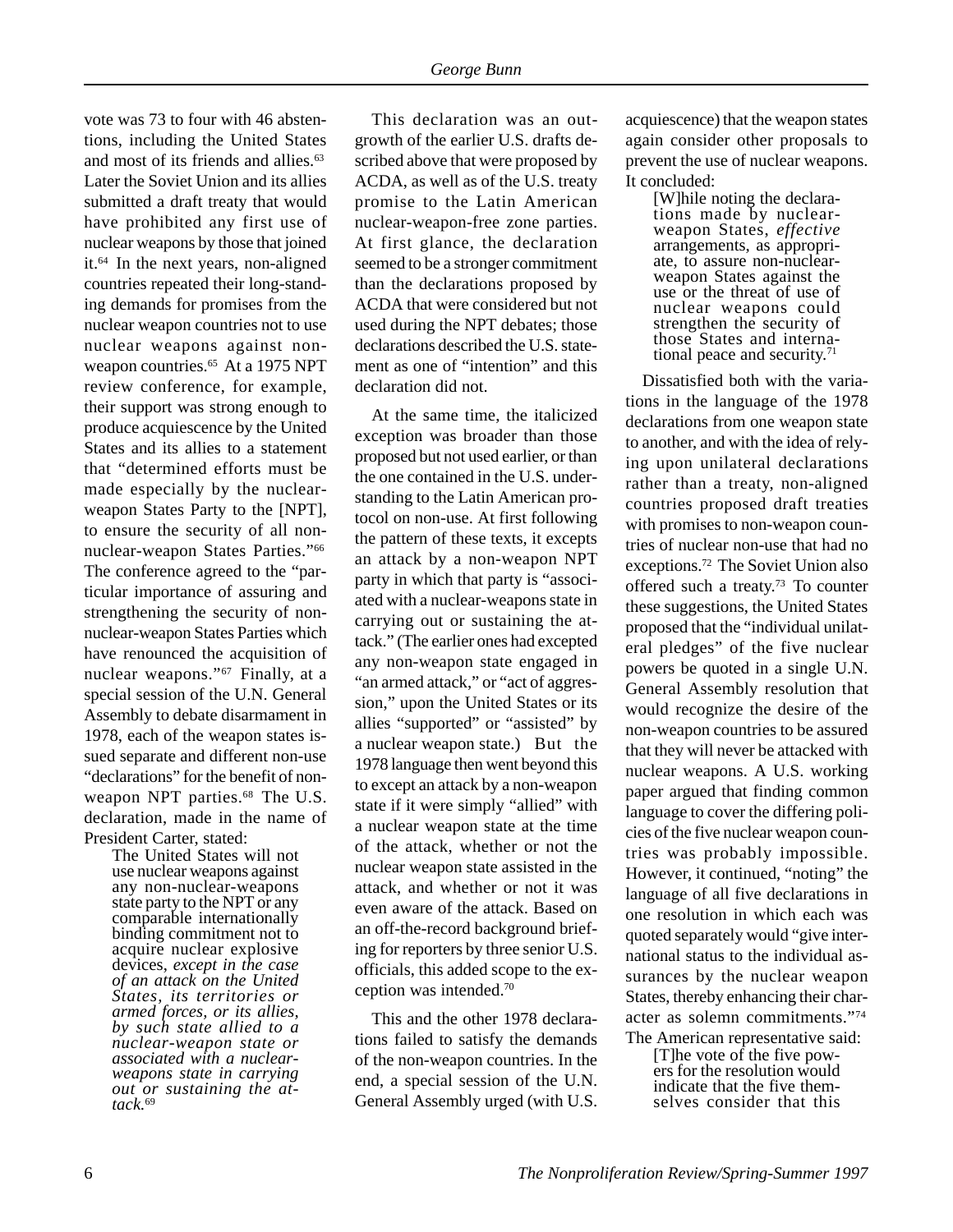vote was 73 to four with 46 abstentions, including the United States and most of its friends and allies.<sup>63</sup> Later the Soviet Union and its allies submitted a draft treaty that would have prohibited any first use of nuclear weapons by those that joined it.64 In the next years, non-aligned countries repeated their long-standing demands for promises from the nuclear weapon countries not to use nuclear weapons against nonweapon countries.<sup>65</sup> At a 1975 NPT review conference, for example, their support was strong enough to produce acquiescence by the United States and its allies to a statement that "determined efforts must be made especially by the nuclearweapon States Party to the [NPT], to ensure the security of all nonnuclear-weapon States Parties."66 The conference agreed to the "particular importance of assuring and strengthening the security of nonnuclear-weapon States Parties which have renounced the acquisition of nuclear weapons."67 Finally, at a special session of the U.N. General Assembly to debate disarmament in 1978, each of the weapon states issued separate and different non-use "declarations" for the benefit of nonweapon NPT parties.<sup>68</sup> The U.S. declaration, made in the name of President Carter, stated:

> The United States will not use nuclear weapons against any non-nuclear-weapons state party to the NPT or any comparable internationally binding commitment not to acquire nuclear explosive devices, *except in the case of an attack on the United States, its territories or armed forces, or its allies, by such state allied to a nuclear-weapon state or associated with a nuclearweapons state in carrying out or sustaining the attack.*<sup>69</sup>

This declaration was an outgrowth of the earlier U.S. drafts described above that were proposed by ACDA, as well as of the U.S. treaty promise to the Latin American nuclear-weapon-free zone parties. At first glance, the declaration seemed to be a stronger commitment than the declarations proposed by ACDA that were considered but not used during the NPT debates; those declarations described the U.S. statement as one of "intention" and this declaration did not.

At the same time, the italicized exception was broader than those proposed but not used earlier, or than the one contained in the U.S. understanding to the Latin American protocol on non-use. At first following the pattern of these texts, it excepts an attack by a non-weapon NPT party in which that party is "associated with a nuclear-weapons state in carrying out or sustaining the attack." (The earlier ones had excepted any non-weapon state engaged in "an armed attack," or "act of aggression," upon the United States or its allies "supported" or "assisted" by a nuclear weapon state.) But the 1978 language then went beyond this to except an attack by a non-weapon state if it were simply "allied" with a nuclear weapon state at the time of the attack, whether or not the nuclear weapon state assisted in the attack, and whether or not it was even aware of the attack. Based on an off-the-record background briefing for reporters by three senior U.S. officials, this added scope to the exception was intended.70

This and the other 1978 declarations failed to satisfy the demands of the non-weapon countries. In the end, a special session of the U.N. General Assembly urged (with U.S. acquiescence) that the weapon states again consider other proposals to prevent the use of nuclear weapons. It concluded:

> [W]hile noting the declarations made by nuclearweapon States, *effective* arrangements, as appropriate, to assure non-nuclearweapon States against the use or the threat of use of nuclear weapons could strengthen the security of those States and international peace and security.<sup>71</sup>

Dissatisfied both with the variations in the language of the 1978 declarations from one weapon state to another, and with the idea of relying upon unilateral declarations rather than a treaty, non-aligned countries proposed draft treaties with promises to non-weapon countries of nuclear non-use that had no exceptions.72 The Soviet Union also offered such a treaty.<sup>73</sup> To counter these suggestions, the United States proposed that the "individual unilateral pledges" of the five nuclear powers be quoted in a single U.N. General Assembly resolution that would recognize the desire of the non-weapon countries to be assured that they will never be attacked with nuclear weapons. A U.S. working paper argued that finding common language to cover the differing policies of the five nuclear weapon countries was probably impossible. However, it continued, "noting" the language of all five declarations in one resolution in which each was quoted separately would "give international status to the individual assurances by the nuclear weapon States, thereby enhancing their character as solemn commitments."74

The American representative said: [T] he vote of the five powers for the resolution would indicate that the five themselves consider that this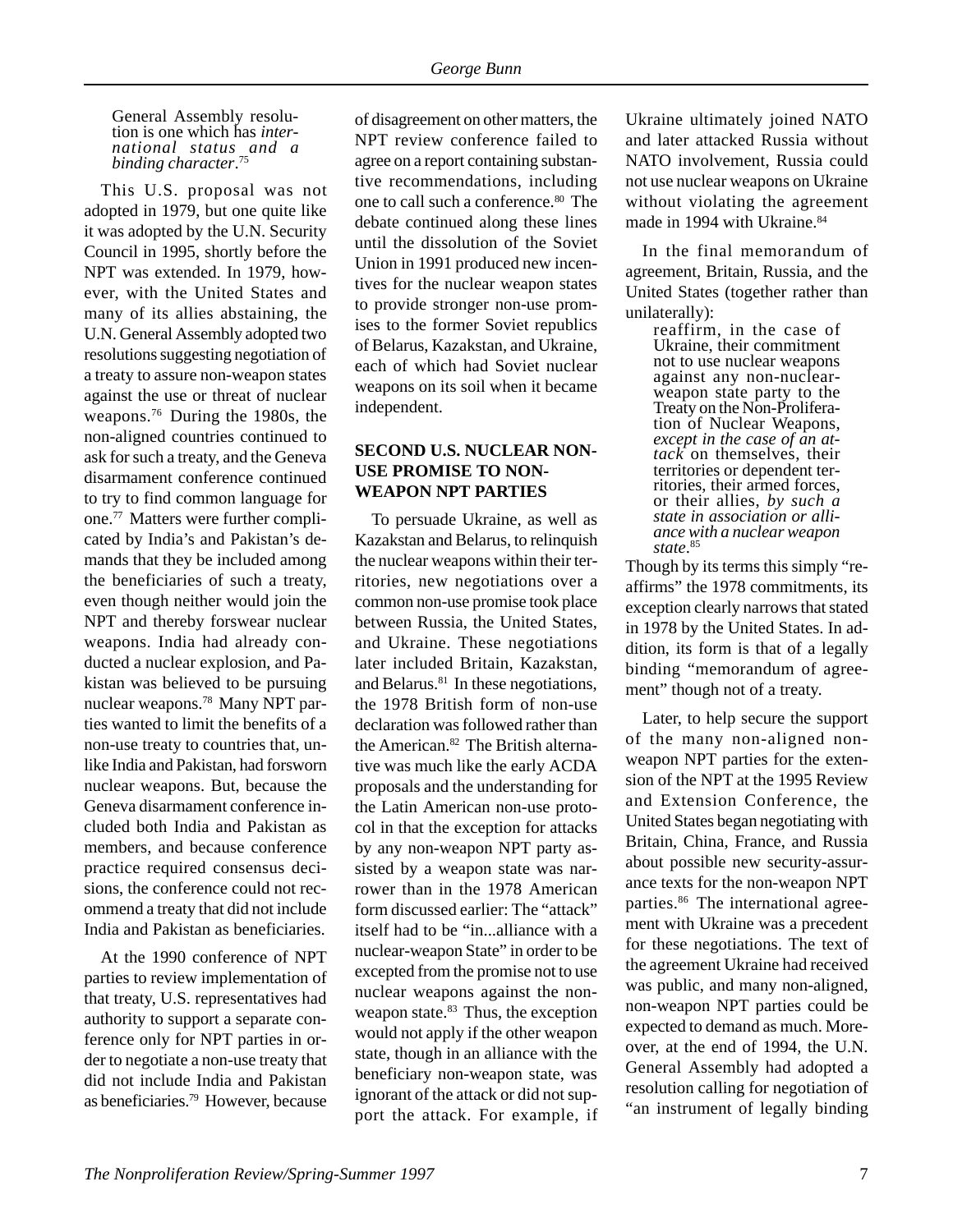General Assembly resolution is one which has *international status and a binding character*. 75

This U.S. proposal was not adopted in 1979, but one quite like it was adopted by the U.N. Security Council in 1995, shortly before the NPT was extended. In 1979, however, with the United States and many of its allies abstaining, the U.N. General Assembly adopted two resolutions suggesting negotiation of a treaty to assure non-weapon states against the use or threat of nuclear weapons.76 During the 1980s, the non-aligned countries continued to ask for such a treaty, and the Geneva disarmament conference continued to try to find common language for one.77 Matters were further complicated by India's and Pakistan's demands that they be included among the beneficiaries of such a treaty, even though neither would join the NPT and thereby forswear nuclear weapons. India had already conducted a nuclear explosion, and Pakistan was believed to be pursuing nuclear weapons.78 Many NPT parties wanted to limit the benefits of a non-use treaty to countries that, unlike India and Pakistan, had forsworn nuclear weapons. But, because the Geneva disarmament conference included both India and Pakistan as members, and because conference practice required consensus decisions, the conference could not recommend a treaty that did not include India and Pakistan as beneficiaries.

At the 1990 conference of NPT parties to review implementation of that treaty, U.S. representatives had authority to support a separate conference only for NPT parties in order to negotiate a non-use treaty that did not include India and Pakistan as beneficiaries.79 However, because

of disagreement on other matters, the NPT review conference failed to agree on a report containing substantive recommendations, including one to call such a conference.80 The debate continued along these lines until the dissolution of the Soviet Union in 1991 produced new incentives for the nuclear weapon states to provide stronger non-use promises to the former Soviet republics of Belarus, Kazakstan, and Ukraine, each of which had Soviet nuclear weapons on its soil when it became independent.

#### **SECOND U.S. NUCLEAR NON-USE PROMISE TO NON-WEAPON NPT PARTIES**

To persuade Ukraine, as well as Kazakstan and Belarus, to relinquish the nuclear weapons within their territories, new negotiations over a common non-use promise took place between Russia, the United States, and Ukraine. These negotiations later included Britain, Kazakstan, and Belarus.<sup>81</sup> In these negotiations, the 1978 British form of non-use declaration was followed rather than the American.<sup>82</sup> The British alternative was much like the early ACDA proposals and the understanding for the Latin American non-use protocol in that the exception for attacks by any non-weapon NPT party assisted by a weapon state was narrower than in the 1978 American form discussed earlier: The "attack" itself had to be "in...alliance with a nuclear-weapon State" in order to be excepted from the promise not to use nuclear weapons against the nonweapon state. $83$  Thus, the exception would not apply if the other weapon state, though in an alliance with the beneficiary non-weapon state, was ignorant of the attack or did not support the attack. For example, if

Ukraine ultimately joined NATO and later attacked Russia without NATO involvement, Russia could not use nuclear weapons on Ukraine without violating the agreement made in 1994 with Ukraine.<sup>84</sup>

In the final memorandum of agreement, Britain, Russia, and the United States (together rather than unilaterally):

reaffirm, in the case of Ukraine, their commitment not to use nuclear weapons against any non-nuclearweapon state party to the Treaty on the Non-Proliferation of Nuclear Weapons, *except in the case of an attack* on themselves, their territories or dependent territories, their armed forces, or their allies, *by such a state in association or alliance with a nuclear weapon state*. 85

Though by its terms this simply "reaffirms" the 1978 commitments, its exception clearly narrows that stated in 1978 by the United States. In addition, its form is that of a legally binding "memorandum of agreement" though not of a treaty.

Later, to help secure the support of the many non-aligned nonweapon NPT parties for the extension of the NPT at the 1995 Review and Extension Conference, the United States began negotiating with Britain, China, France, and Russia about possible new security-assurance texts for the non-weapon NPT parties.86 The international agreement with Ukraine was a precedent for these negotiations. The text of the agreement Ukraine had received was public, and many non-aligned, non-weapon NPT parties could be expected to demand as much. Moreover, at the end of 1994, the U.N. General Assembly had adopted a resolution calling for negotiation of "an instrument of legally binding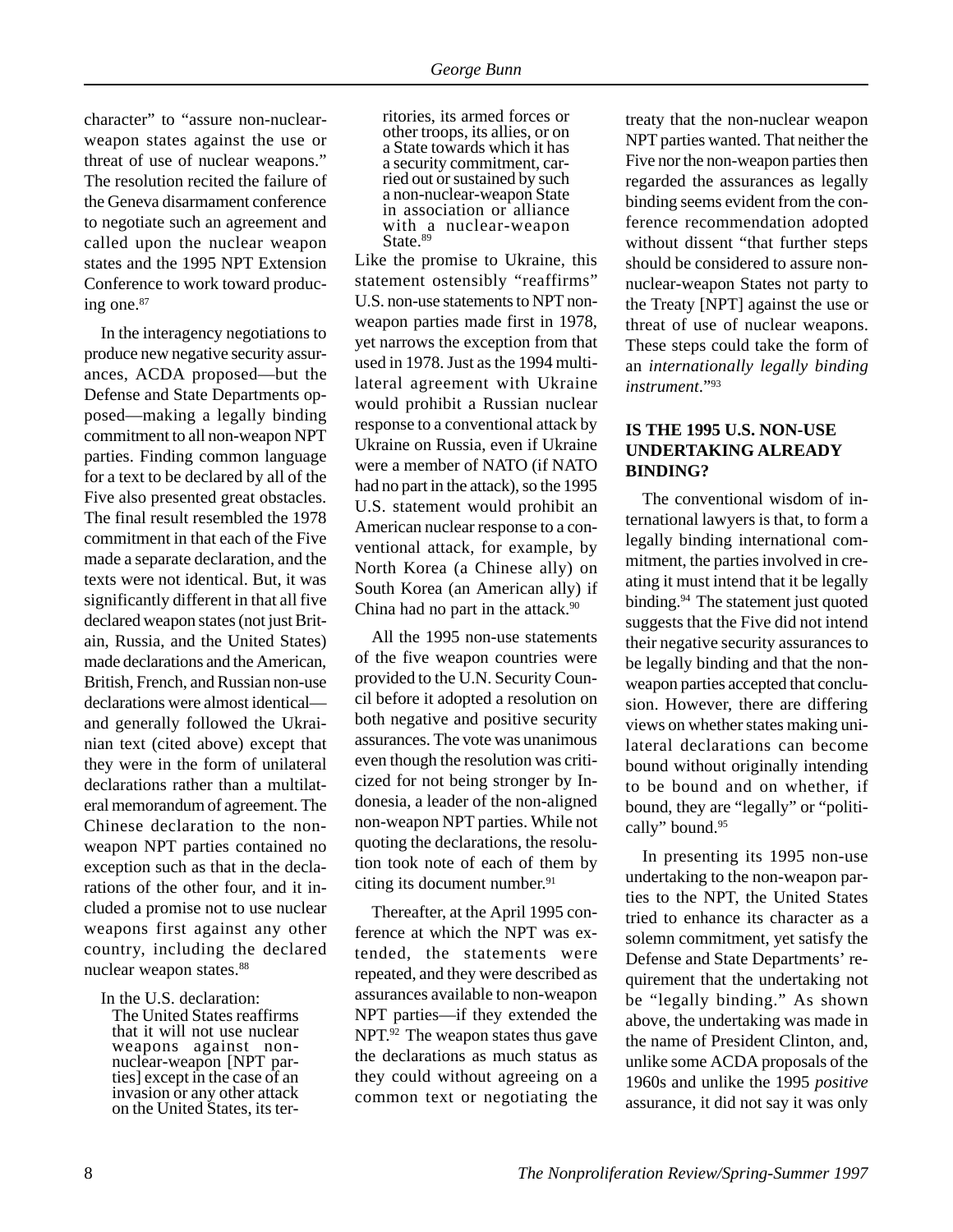character" to "assure non-nuclearweapon states against the use or threat of use of nuclear weapons." The resolution recited the failure of the Geneva disarmament conference to negotiate such an agreement and called upon the nuclear weapon states and the 1995 NPT Extension Conference to work toward producing one.87

In the interagency negotiations to produce new negative security assurances, ACDA proposed—but the Defense and State Departments opposed—making a legally binding commitment to all non-weapon NPT parties. Finding common language for a text to be declared by all of the Five also presented great obstacles. The final result resembled the 1978 commitment in that each of the Five made a separate declaration, and the texts were not identical. But, it was significantly different in that all five declared weapon states (not just Britain, Russia, and the United States) made declarations and the American, British, French, and Russian non-use declarations were almost identical and generally followed the Ukrainian text (cited above) except that they were in the form of unilateral declarations rather than a multilateral memorandum of agreement. The Chinese declaration to the nonweapon NPT parties contained no exception such as that in the declarations of the other four, and it included a promise not to use nuclear weapons first against any other country, including the declared nuclear weapon states.<sup>88</sup>

#### In the U.S. declaration:

The United States reaffirms that it will not use nuclear weapons against nonnuclear-weapon [NPT parties] except in the case of an invasion or any other attack on the United States, its territories, its armed forces or other troops, its allies, or on a State towards which it has a security commitment, carried out or sustained by such a non-nuclear-weapon State in association or alliance with a nuclear-weapon State.<sup>89</sup>

Like the promise to Ukraine, this statement ostensibly "reaffirms" U.S. non-use statements to NPT nonweapon parties made first in 1978, yet narrows the exception from that used in 1978. Just as the 1994 multilateral agreement with Ukraine would prohibit a Russian nuclear response to a conventional attack by Ukraine on Russia, even if Ukraine were a member of NATO (if NATO had no part in the attack), so the 1995 U.S. statement would prohibit an American nuclear response to a conventional attack, for example, by North Korea (a Chinese ally) on South Korea (an American ally) if China had no part in the attack. $90$ 

All the 1995 non-use statements of the five weapon countries were provided to the U.N. Security Council before it adopted a resolution on both negative and positive security assurances. The vote was unanimous even though the resolution was criticized for not being stronger by Indonesia, a leader of the non-aligned non-weapon NPT parties. While not quoting the declarations, the resolution took note of each of them by citing its document number.<sup>91</sup>

Thereafter, at the April 1995 conference at which the NPT was extended, the statements were repeated, and they were described as assurances available to non-weapon NPT parties—if they extended the NPT.<sup>92</sup> The weapon states thus gave the declarations as much status as they could without agreeing on a common text or negotiating the

treaty that the non-nuclear weapon NPT parties wanted. That neither the Five nor the non-weapon parties then regarded the assurances as legally binding seems evident from the conference recommendation adopted without dissent "that further steps should be considered to assure nonnuclear-weapon States not party to the Treaty [NPT] against the use or threat of use of nuclear weapons. These steps could take the form of an *internationally legally binding instrument*."93

### **IS THE 1995 U.S. NON-USE UNDERTAKING ALREADY BINDING?**

The conventional wisdom of international lawyers is that, to form a legally binding international commitment, the parties involved in creating it must intend that it be legally binding.<sup>94</sup> The statement just quoted suggests that the Five did not intend their negative security assurances to be legally binding and that the nonweapon parties accepted that conclusion. However, there are differing views on whether states making unilateral declarations can become bound without originally intending to be bound and on whether, if bound, they are "legally" or "politically" bound.<sup>95</sup>

In presenting its 1995 non-use undertaking to the non-weapon parties to the NPT, the United States tried to enhance its character as a solemn commitment, yet satisfy the Defense and State Departments' requirement that the undertaking not be "legally binding." As shown above, the undertaking was made in the name of President Clinton, and, unlike some ACDA proposals of the 1960s and unlike the 1995 *positive* assurance, it did not say it was only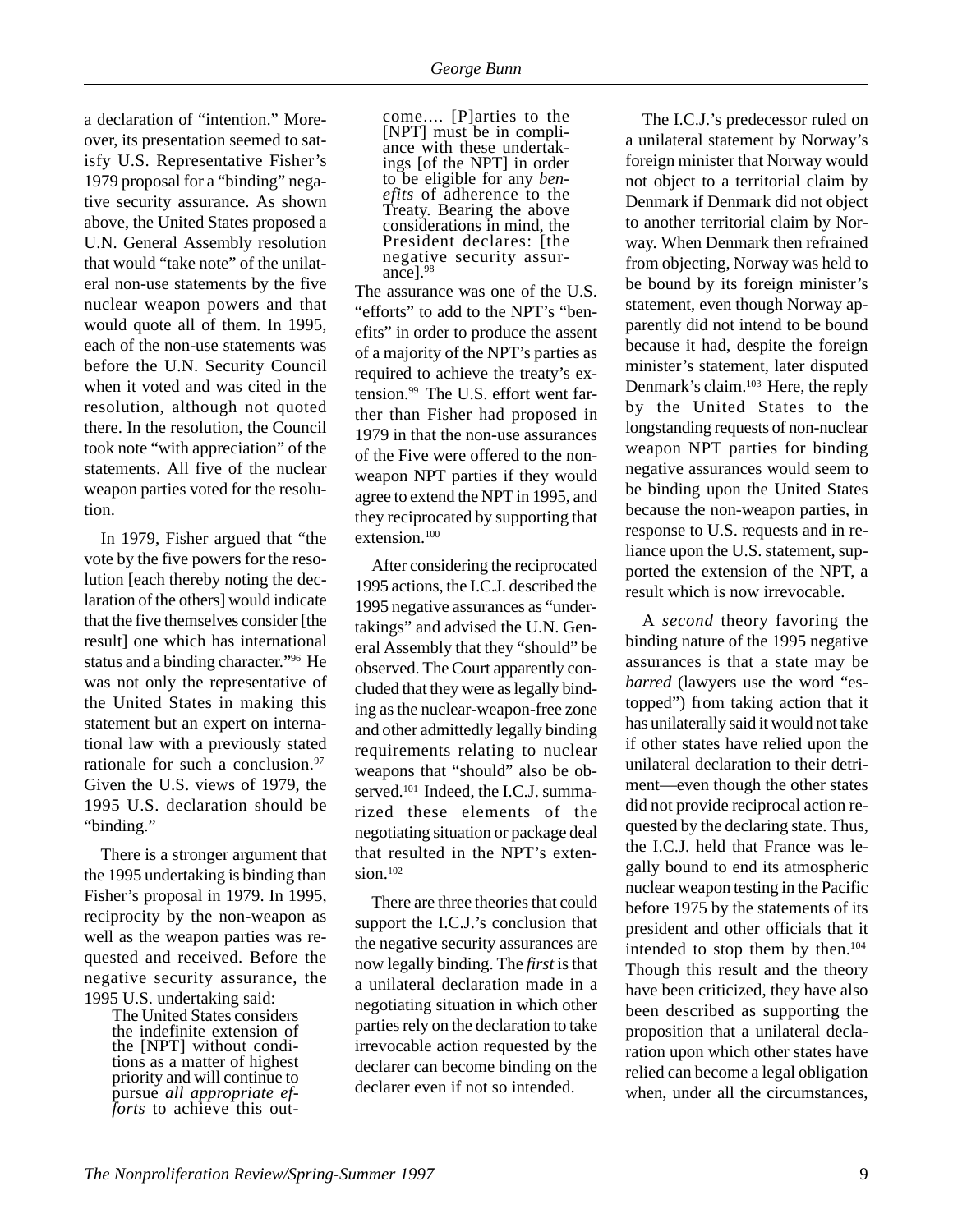a declaration of "intention." Moreover, its presentation seemed to satisfy U.S. Representative Fisher's 1979 proposal for a "binding" negative security assurance. As shown above, the United States proposed a U.N. General Assembly resolution that would "take note" of the unilateral non-use statements by the five nuclear weapon powers and that would quote all of them. In 1995, each of the non-use statements was before the U.N. Security Council when it voted and was cited in the resolution, although not quoted there. In the resolution, the Council took note "with appreciation" of the statements. All five of the nuclear weapon parties voted for the resolution.

In 1979, Fisher argued that "the vote by the five powers for the resolution [each thereby noting the declaration of the others] would indicate that the five themselves consider [the result] one which has international status and a binding character."96 He was not only the representative of the United States in making this statement but an expert on international law with a previously stated rationale for such a conclusion.<sup>97</sup> Given the U.S. views of 1979, the 1995 U.S. declaration should be "binding."

There is a stronger argument that the 1995 undertaking is binding than Fisher's proposal in 1979. In 1995, reciprocity by the non-weapon as well as the weapon parties was requested and received. Before the negative security assurance, the 1995 U.S. undertaking said:

The United States considers the indefinite extension of the [NPT] without conditions as a matter of highest priority and will continue to pursue *all appropriate efforts* to achieve this out-

come.... [P]arties to the [NPT] must be in compliance with these undertakings [of the NPT] in order to be eligible for any *benefits* of adherence to the Treaty. Bearing the above considerations in mind, the President declares: [the negative security assurance].98

The assurance was one of the U.S. "efforts" to add to the NPT's "benefits" in order to produce the assent of a majority of the NPT's parties as required to achieve the treaty's extension.<sup>99</sup> The U.S. effort went farther than Fisher had proposed in 1979 in that the non-use assurances of the Five were offered to the nonweapon NPT parties if they would agree to extend the NPT in 1995, and they reciprocated by supporting that extension.100

After considering the reciprocated 1995 actions, the I.C.J. described the 1995 negative assurances as "undertakings" and advised the U.N. General Assembly that they "should" be observed. The Court apparently concluded that they were as legally binding as the nuclear-weapon-free zone and other admittedly legally binding requirements relating to nuclear weapons that "should" also be observed.<sup>101</sup> Indeed, the I.C.J. summarized these elements of the negotiating situation or package deal that resulted in the NPT's extension.<sup>102</sup>

There are three theories that could support the I.C.J.'s conclusion that the negative security assurances are now legally binding. The *first* is that a unilateral declaration made in a negotiating situation in which other parties rely on the declaration to take irrevocable action requested by the declarer can become binding on the declarer even if not so intended.

The I.C.J.'s predecessor ruled on a unilateral statement by Norway's foreign minister that Norway would not object to a territorial claim by Denmark if Denmark did not object to another territorial claim by Norway. When Denmark then refrained from objecting, Norway was held to be bound by its foreign minister's statement, even though Norway apparently did not intend to be bound because it had, despite the foreign minister's statement, later disputed Denmark's claim.103 Here, the reply by the United States to the longstanding requests of non-nuclear weapon NPT parties for binding negative assurances would seem to be binding upon the United States because the non-weapon parties, in response to U.S. requests and in reliance upon the U.S. statement, supported the extension of the NPT, a result which is now irrevocable.

A *second* theory favoring the binding nature of the 1995 negative assurances is that a state may be *barred* (lawyers use the word "estopped") from taking action that it has unilaterally said it would not take if other states have relied upon the unilateral declaration to their detriment—even though the other states did not provide reciprocal action requested by the declaring state. Thus, the I.C.J. held that France was legally bound to end its atmospheric nuclear weapon testing in the Pacific before 1975 by the statements of its president and other officials that it intended to stop them by then.<sup>104</sup> Though this result and the theory have been criticized, they have also been described as supporting the proposition that a unilateral declaration upon which other states have relied can become a legal obligation when, under all the circumstances,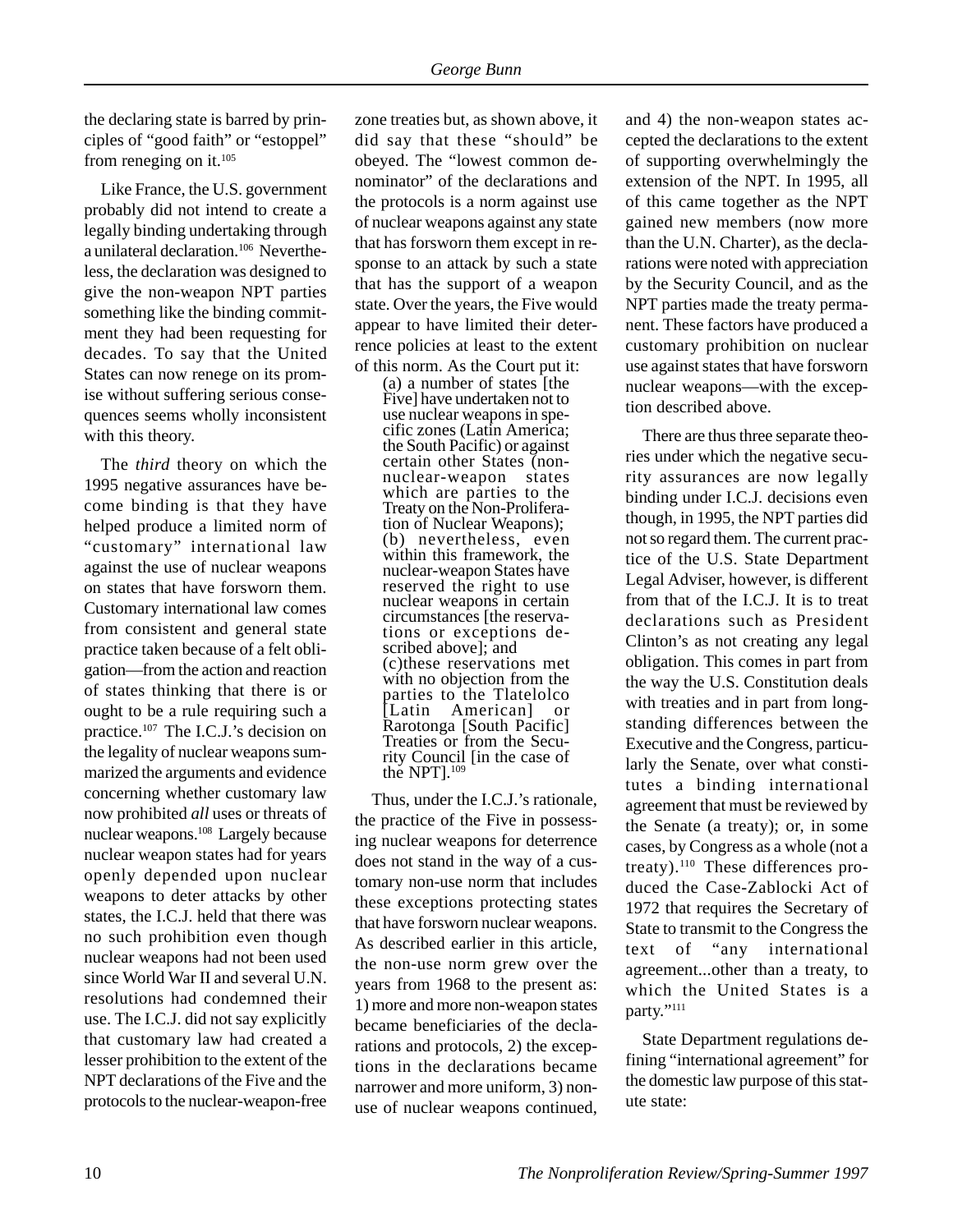the declaring state is barred by principles of "good faith" or "estoppel" from reneging on it. $105$ 

Like France, the U.S. government probably did not intend to create a legally binding undertaking through a unilateral declaration.106 Nevertheless, the declaration was designed to give the non-weapon NPT parties something like the binding commitment they had been requesting for decades. To say that the United States can now renege on its promise without suffering serious consequences seems wholly inconsistent with this theory.

The *third* theory on which the 1995 negative assurances have become binding is that they have helped produce a limited norm of "customary" international law against the use of nuclear weapons on states that have forsworn them. Customary international law comes from consistent and general state practice taken because of a felt obligation—from the action and reaction of states thinking that there is or ought to be a rule requiring such a practice.107 The I.C.J.'s decision on the legality of nuclear weapons summarized the arguments and evidence concerning whether customary law now prohibited *all* uses or threats of nuclear weapons.108 Largely because nuclear weapon states had for years openly depended upon nuclear weapons to deter attacks by other states, the I.C.J. held that there was no such prohibition even though nuclear weapons had not been used since World War II and several U.N. resolutions had condemned their use. The I.C.J. did not say explicitly that customary law had created a lesser prohibition to the extent of the NPT declarations of the Five and the protocols to the nuclear-weapon-free

zone treaties but, as shown above, it did say that these "should" be obeyed. The "lowest common denominator" of the declarations and the protocols is a norm against use of nuclear weapons against any state that has forsworn them except in response to an attack by such a state that has the support of a weapon state. Over the years, the Five would appear to have limited their deterrence policies at least to the extent of this norm. As the Court put it:

(a) a number of states [the Five] have undertaken not to use nuclear weapons in specific zones (Latin America; the South Pacific) or against certain other States (nonnuclear-weapon states which are parties to the Treaty on the Non-Proliferation of Nuclear Weapons); (b) nevertheless, even within this framework, the nuclear-weapon States have reserved the right to use nuclear weapons in certain circumstances [the reservations or exceptions described above]; and (c)these reservations met with no objection from the parties to the Tlatelolco<br>[Latin – American] – or American] or Rarotonga [South Pacific] Treaties or from the Security Council [in the case of the NPT].109

Thus, under the I.C.J.'s rationale, the practice of the Five in possessing nuclear weapons for deterrence does not stand in the way of a customary non-use norm that includes these exceptions protecting states that have forsworn nuclear weapons. As described earlier in this article, the non-use norm grew over the years from 1968 to the present as: 1) more and more non-weapon states became beneficiaries of the declarations and protocols, 2) the exceptions in the declarations became narrower and more uniform, 3) nonuse of nuclear weapons continued,

and 4) the non-weapon states accepted the declarations to the extent of supporting overwhelmingly the extension of the NPT. In 1995, all of this came together as the NPT gained new members (now more than the U.N. Charter), as the declarations were noted with appreciation by the Security Council, and as the NPT parties made the treaty permanent. These factors have produced a customary prohibition on nuclear use against states that have forsworn nuclear weapons—with the exception described above.

There are thus three separate theories under which the negative security assurances are now legally binding under I.C.J. decisions even though, in 1995, the NPT parties did not so regard them. The current practice of the U.S. State Department Legal Adviser, however, is different from that of the I.C.J. It is to treat declarations such as President Clinton's as not creating any legal obligation. This comes in part from the way the U.S. Constitution deals with treaties and in part from longstanding differences between the Executive and the Congress, particularly the Senate, over what constitutes a binding international agreement that must be reviewed by the Senate (a treaty); or, in some cases, by Congress as a whole (not a treaty).110 These differences produced the Case-Zablocki Act of 1972 that requires the Secretary of State to transmit to the Congress the text of "any international agreement...other than a treaty, to which the United States is a party."<sup>111</sup>

State Department regulations defining "international agreement" for the domestic law purpose of this statute state: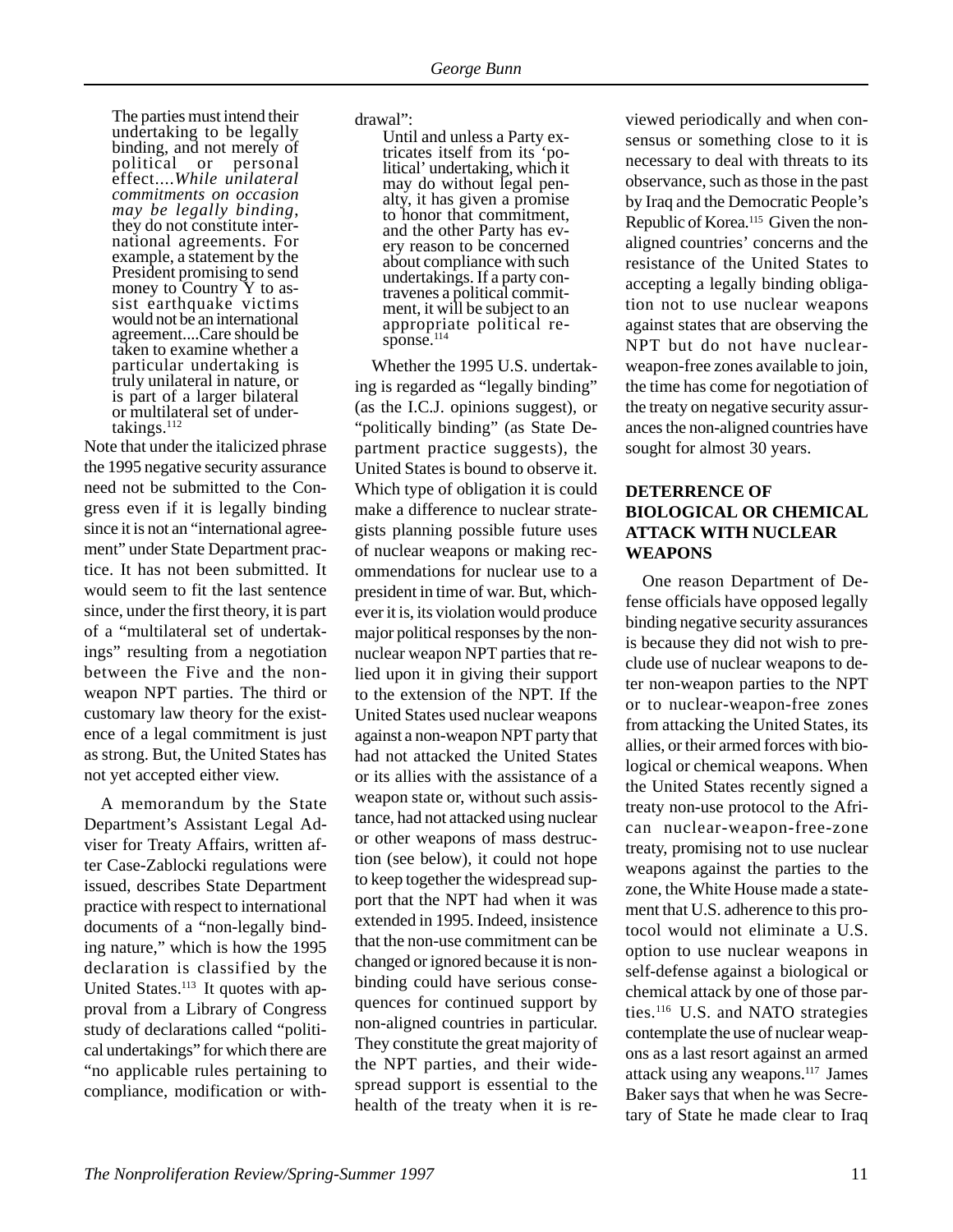The parties must intend their undertaking to be legally binding, and not merely of political or personal effect....*While unilateral commitments on occasion may be legally binding*, they do not constitute international agreements. For example, a statement by the President promising to send money to Country Y to assist earthquake victims would not be an international agreement....Care should be taken to examine whether a particular undertaking is truly unilateral in nature, or is part of a larger bilateral or multilateral set of undertakings.<sup>112</sup>

Note that under the italicized phrase the 1995 negative security assurance need not be submitted to the Congress even if it is legally binding since it is not an "international agreement" under State Department practice. It has not been submitted. It would seem to fit the last sentence since, under the first theory, it is part of a "multilateral set of undertakings" resulting from a negotiation between the Five and the nonweapon NPT parties. The third or customary law theory for the existence of a legal commitment is just as strong. But, the United States has not yet accepted either view.

A memorandum by the State Department's Assistant Legal Adviser for Treaty Affairs, written after Case-Zablocki regulations were issued, describes State Department practice with respect to international documents of a "non-legally binding nature," which is how the 1995 declaration is classified by the United States.<sup>113</sup> It quotes with approval from a Library of Congress study of declarations called "political undertakings" for which there are "no applicable rules pertaining to compliance, modification or withdrawal":

Until and unless a Party extricates itself from its 'political' undertaking, which it may do without legal penalty, it has given a promise to honor that commitment, and the other Party has every reason to be concerned about compliance with such undertakings. If a party contravenes a political commitment, it will be subject to an appropriate political response.<sup>114</sup>

Whether the 1995 U.S. undertaking is regarded as "legally binding" (as the I.C.J. opinions suggest), or "politically binding" (as State Department practice suggests), the United States is bound to observe it. Which type of obligation it is could make a difference to nuclear strategists planning possible future uses of nuclear weapons or making recommendations for nuclear use to a president in time of war. But, whichever it is, its violation would produce major political responses by the nonnuclear weapon NPT parties that relied upon it in giving their support to the extension of the NPT. If the United States used nuclear weapons against a non-weapon NPT party that had not attacked the United States or its allies with the assistance of a weapon state or, without such assistance, had not attacked using nuclear or other weapons of mass destruction (see below), it could not hope to keep together the widespread support that the NPT had when it was extended in 1995. Indeed, insistence that the non-use commitment can be changed or ignored because it is nonbinding could have serious consequences for continued support by non-aligned countries in particular. They constitute the great majority of the NPT parties, and their widespread support is essential to the health of the treaty when it is reviewed periodically and when consensus or something close to it is necessary to deal with threats to its observance, such as those in the past by Iraq and the Democratic People's Republic of Korea.115 Given the nonaligned countries' concerns and the resistance of the United States to accepting a legally binding obligation not to use nuclear weapons against states that are observing the NPT but do not have nuclearweapon-free zones available to join, the time has come for negotiation of the treaty on negative security assurances the non-aligned countries have sought for almost 30 years.

# **DETERRENCE OF BIOLOGICAL OR CHEMICAL ATTACK WITH NUCLEAR WEAPONS**

One reason Department of Defense officials have opposed legally binding negative security assurances is because they did not wish to preclude use of nuclear weapons to deter non-weapon parties to the NPT or to nuclear-weapon-free zones from attacking the United States, its allies, or their armed forces with biological or chemical weapons. When the United States recently signed a treaty non-use protocol to the African nuclear-weapon-free-zone treaty, promising not to use nuclear weapons against the parties to the zone, the White House made a statement that U.S. adherence to this protocol would not eliminate a U.S. option to use nuclear weapons in self-defense against a biological or chemical attack by one of those parties.116 U.S. and NATO strategies contemplate the use of nuclear weapons as a last resort against an armed attack using any weapons.117 James Baker says that when he was Secretary of State he made clear to Iraq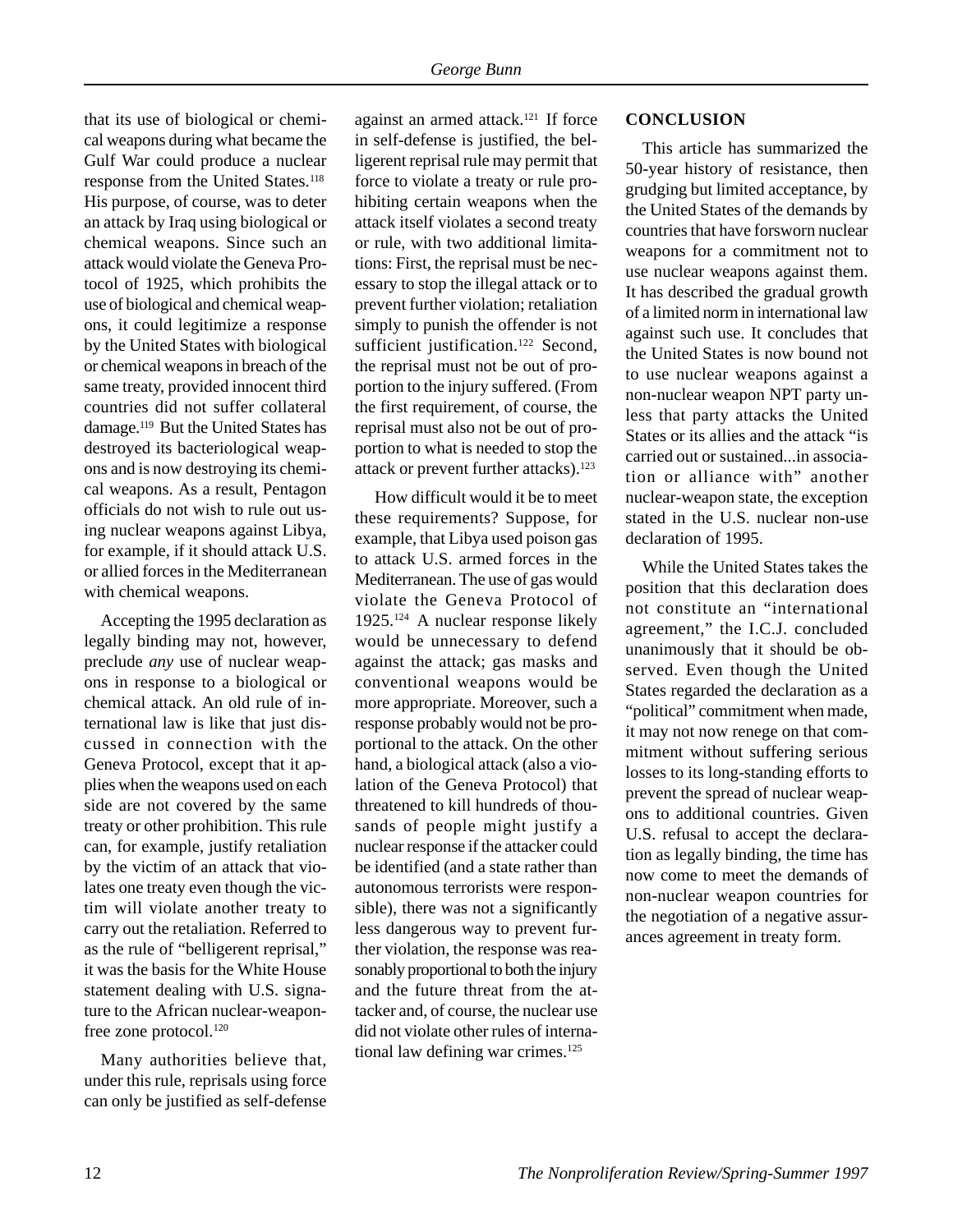that its use of biological or chemical weapons during what became the Gulf War could produce a nuclear response from the United States.<sup>118</sup> His purpose, of course, was to deter an attack by Iraq using biological or chemical weapons. Since such an attack would violate the Geneva Protocol of 1925, which prohibits the use of biological and chemical weapons, it could legitimize a response by the United States with biological or chemical weapons in breach of the same treaty, provided innocent third countries did not suffer collateral damage.119 But the United States has destroyed its bacteriological weapons and is now destroying its chemical weapons. As a result, Pentagon officials do not wish to rule out using nuclear weapons against Libya, for example, if it should attack U.S. or allied forces in the Mediterranean with chemical weapons.

Accepting the 1995 declaration as legally binding may not, however, preclude *any* use of nuclear weapons in response to a biological or chemical attack. An old rule of international law is like that just discussed in connection with the Geneva Protocol, except that it applies when the weapons used on each side are not covered by the same treaty or other prohibition. This rule can, for example, justify retaliation by the victim of an attack that violates one treaty even though the victim will violate another treaty to carry out the retaliation. Referred to as the rule of "belligerent reprisal," it was the basis for the White House statement dealing with U.S. signature to the African nuclear-weaponfree zone protocol.120

Many authorities believe that, under this rule, reprisals using force can only be justified as self-defense

against an armed attack.<sup>121</sup> If force in self-defense is justified, the belligerent reprisal rule may permit that force to violate a treaty or rule prohibiting certain weapons when the attack itself violates a second treaty or rule, with two additional limitations: First, the reprisal must be necessary to stop the illegal attack or to prevent further violation; retaliation simply to punish the offender is not sufficient justification.<sup>122</sup> Second, the reprisal must not be out of proportion to the injury suffered. (From the first requirement, of course, the reprisal must also not be out of proportion to what is needed to stop the attack or prevent further attacks).<sup>123</sup>

 How difficult would it be to meet these requirements? Suppose, for example, that Libya used poison gas to attack U.S. armed forces in the Mediterranean. The use of gas would violate the Geneva Protocol of 1925.124 A nuclear response likely would be unnecessary to defend against the attack; gas masks and conventional weapons would be more appropriate. Moreover, such a response probably would not be proportional to the attack. On the other hand, a biological attack (also a violation of the Geneva Protocol) that threatened to kill hundreds of thousands of people might justify a nuclear response if the attacker could be identified (and a state rather than autonomous terrorists were responsible), there was not a significantly less dangerous way to prevent further violation, the response was reasonably proportional to both the injury and the future threat from the attacker and, of course, the nuclear use did not violate other rules of international law defining war crimes.<sup>125</sup>

#### **CONCLUSION**

This article has summarized the 50-year history of resistance, then grudging but limited acceptance, by the United States of the demands by countries that have forsworn nuclear weapons for a commitment not to use nuclear weapons against them. It has described the gradual growth of a limited norm in international law against such use. It concludes that the United States is now bound not to use nuclear weapons against a non-nuclear weapon NPT party unless that party attacks the United States or its allies and the attack "is carried out or sustained...in association or alliance with" another nuclear-weapon state, the exception stated in the U.S. nuclear non-use declaration of 1995.

While the United States takes the position that this declaration does not constitute an "international agreement," the I.C.J. concluded unanimously that it should be observed. Even though the United States regarded the declaration as a "political" commitment when made, it may not now renege on that commitment without suffering serious losses to its long-standing efforts to prevent the spread of nuclear weapons to additional countries. Given U.S. refusal to accept the declaration as legally binding, the time has now come to meet the demands of non-nuclear weapon countries for the negotiation of a negative assurances agreement in treaty form.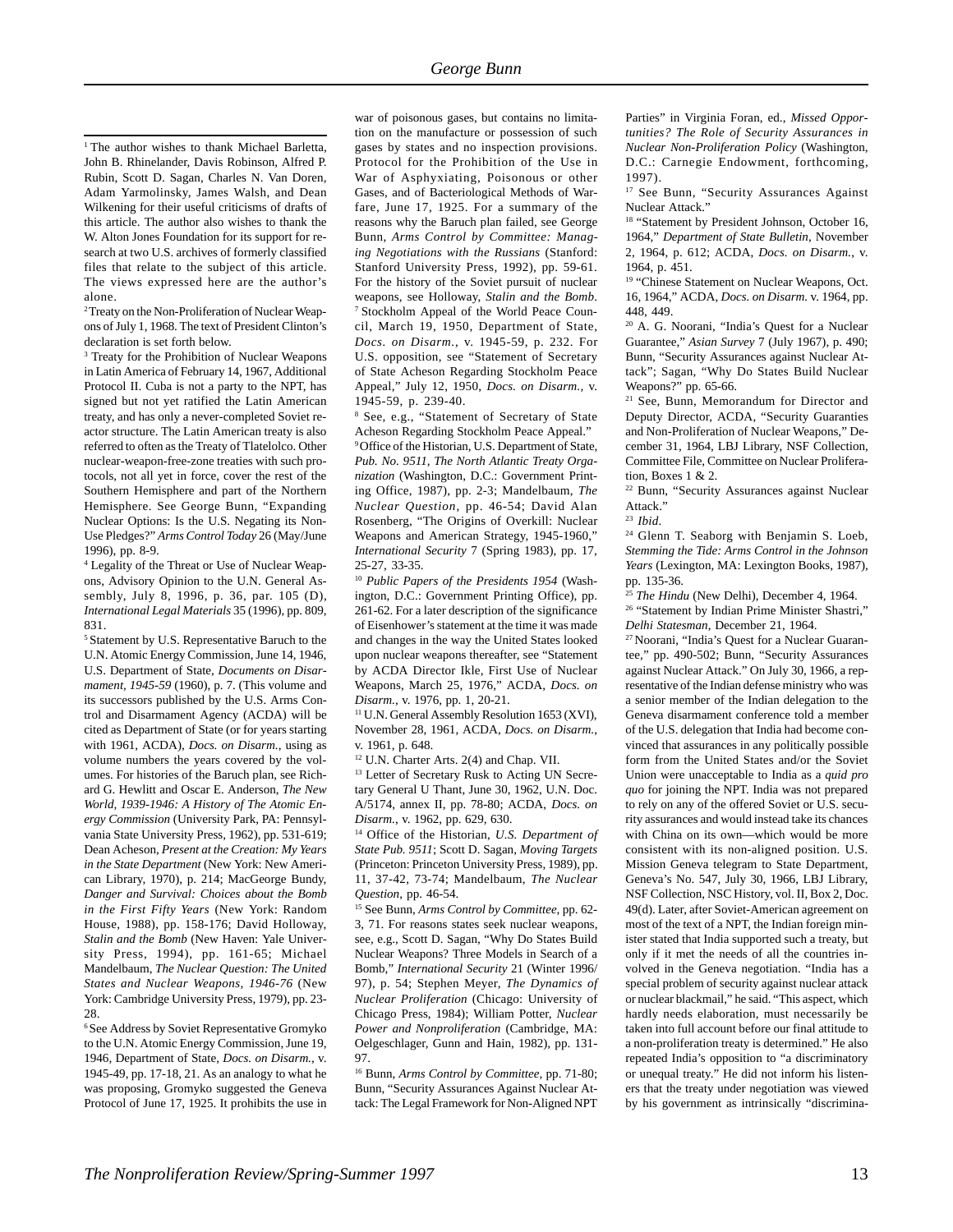<sup>1</sup> The author wishes to thank Michael Barletta, John B. Rhinelander, Davis Robinson, Alfred P. Rubin, Scott D. Sagan, Charles N. Van Doren, Adam Yarmolinsky, James Walsh, and Dean Wilkening for their useful criticisms of drafts of this article. The author also wishes to thank the W. Alton Jones Foundation for its support for research at two U.S. archives of formerly classified files that relate to the subject of this article. The views expressed here are the author's alone.

2 Treaty on the Non-Proliferation of Nuclear Weapons of July 1, 1968. The text of President Clinton's declaration is set forth below.

<sup>3</sup> Treaty for the Prohibition of Nuclear Weapons in Latin America of February 14, 1967, Additional Protocol II. Cuba is not a party to the NPT, has signed but not yet ratified the Latin American treaty, and has only a never-completed Soviet reactor structure. The Latin American treaty is also referred to often as the Treaty of Tlatelolco. Other nuclear-weapon-free-zone treaties with such protocols, not all yet in force, cover the rest of the Southern Hemisphere and part of the Northern Hemisphere. See George Bunn, "Expanding Nuclear Options: Is the U.S. Negating its Non-Use Pledges?" *Arms Control Today* 26 (May/June 1996), pp. 8-9.

4 Legality of the Threat or Use of Nuclear Weapons, Advisory Opinion to the U.N. General Assembly, July 8, 1996, p. 36, par. 105 (D), *International Legal Materials* 35 (1996), pp. 809, 831.

5 Statement by U.S. Representative Baruch to the U.N. Atomic Energy Commission, June 14, 1946, U.S. Department of State, *Documents on Disarmament, 1945-59* (1960), p. 7. (This volume and its successors published by the U.S. Arms Control and Disarmament Agency (ACDA) will be cited as Department of State (or for years starting with 1961, ACDA), *Docs. on Disarm.*, using as volume numbers the years covered by the volumes. For histories of the Baruch plan, see Richard G. Hewlitt and Oscar E. Anderson, *The New World, 1939-1946: A History of The Atomic Energy Commission* (University Park, PA: Pennsylvania State University Press, 1962), pp. 531-619; Dean Acheson, *Present at the Creation: My Years in the State Department* (New York: New American Library, 1970), p. 214; MacGeorge Bundy, *Danger and Survival: Choices about the Bomb in the First Fifty Years* (New York: Random House, 1988), pp. 158-176; David Holloway, *Stalin and the Bomb* (New Haven: Yale University Press, 1994), pp. 161-65; Michael Mandelbaum, *The Nuclear Question: The United States and Nuclear Weapons, 1946-76* (New York: Cambridge University Press, 1979), pp. 23- 28.

6 See Address by Soviet Representative Gromyko to the U.N. Atomic Energy Commission, June 19, 1946, Department of State, *Docs. on Disarm.*, v. 1945-49, pp. 17-18, 21. As an analogy to what he was proposing, Gromyko suggested the Geneva Protocol of June 17, 1925. It prohibits the use in

war of poisonous gases, but contains no limitation on the manufacture or possession of such gases by states and no inspection provisions. Protocol for the Prohibition of the Use in War of Asphyxiating, Poisonous or other Gases, and of Bacteriological Methods of Warfare, June 17, 1925. For a summary of the reasons why the Baruch plan failed, see George Bunn, *Arms Control by Committee: Managing Negotiations with the Russians* (Stanford: Stanford University Press, 1992), pp. 59-61. For the history of the Soviet pursuit of nuclear weapons, see Holloway, *Stalin and the Bomb*. 7 Stockholm Appeal of the World Peace Council, March 19, 1950, Department of State, *Docs. on Disarm.*, v. 1945-59, p. 232. For U.S. opposition, see "Statement of Secretary of State Acheson Regarding Stockholm Peace Appeal," July 12, 1950, *Docs. on Disarm.,* v. 1945-59, p. 239-40.

8 See, e.g., "Statement of Secretary of State Acheson Regarding Stockholm Peace Appeal." <sup>9</sup> Office of the Historian, U.S. Department of State, *Pub. No. 9511, The North Atlantic Treaty Organization* (Washington, D.C.: Government Printing Office, 1987), pp. 2-3; Mandelbaum, *The Nuclear Question*, pp. 46-54; David Alan Rosenberg, "The Origins of Overkill: Nuclear Weapons and American Strategy, 1945-1960," *International Security* 7 (Spring 1983), pp. 17, 25-27, 33-35.

<sup>10</sup> *Public Papers of the Presidents 1954* (Washington, D.C.: Government Printing Office), pp. 261-62. For a later description of the significance of Eisenhower's statement at the time it was made and changes in the way the United States looked upon nuclear weapons thereafter, see "Statement by ACDA Director Ikle, First Use of Nuclear Weapons, March 25, 1976," ACDA, *Docs. on Disarm.*, v. 1976, pp. 1, 20-21.

<sup>11</sup> U.N. General Assembly Resolution 1653 (XVI), November 28, 1961, ACDA, *Docs. on Disarm.*, v. 1961, p. 648.

12 U.N. Charter Arts. 2(4) and Chap. VII.

<sup>13</sup> Letter of Secretary Rusk to Acting UN Secretary General U Thant, June 30, 1962, U.N. Doc. A/5174, annex II, pp. 78-80; ACDA, *Docs. on Disarm.*, v. 1962, pp. 629, 630.

14 Office of the Historian, *U.S. Department of State Pub. 9511*; Scott D. Sagan, *Moving Targets* (Princeton: Princeton University Press, 1989), pp. 11, 37-42, 73-74; Mandelbaum, *The Nuclear Question*, pp. 46-54.

15 See Bunn, *Arms Control by Committee*, pp. 62- 3, 71. For reasons states seek nuclear weapons, see, e.g., Scott D. Sagan, "Why Do States Build Nuclear Weapons? Three Models in Search of a Bomb," *International Security* 21 (Winter 1996/ 97), p. 54; Stephen Meyer, *The Dynamics of Nuclear Proliferation* (Chicago: University of Chicago Press, 1984); William Potter, *Nuclear Power and Nonproliferation* (Cambridge, MA: Oelgeschlager, Gunn and Hain, 1982), pp. 131- 97.

16 Bunn, *Arms Control by Committee,* pp. 71-80; Bunn, "Security Assurances Against Nuclear Attack: The Legal Framework for Non-Aligned NPT Parties" in Virginia Foran, ed., *Missed Opportunities? The Role of Security Assurances in Nuclear Non-Proliferation Policy* (Washington, D.C.: Carnegie Endowment, forthcoming, 1997).

17 See Bunn, "Security Assurances Against Nuclear Attack."

<sup>18</sup> "Statement by President Johnson, October 16, 1964," *Department of State Bulletin*, November 2, 1964, p. 612; ACDA, *Docs. on Disarm.*, v. 1964, p. 451.

<sup>19</sup> "Chinese Statement on Nuclear Weapons, Oct. 16, 1964," ACDA, *Docs. on Disarm.* v. 1964, pp. 448, 449.

20 A. G. Noorani, "India's Quest for a Nuclear Guarantee," *Asian Survey* 7 (July 1967), p. 490; Bunn, "Security Assurances against Nuclear Attack"; Sagan, "Why Do States Build Nuclear Weapons?" pp. 65-66.

21 See, Bunn, Memorandum for Director and Deputy Director, ACDA, "Security Guaranties and Non-Proliferation of Nuclear Weapons," December 31, 1964, LBJ Library, NSF Collection, Committee File, Committee on Nuclear Proliferation, Boxes 1 & 2.

22 Bunn, "Security Assurances against Nuclear Attack."

<sup>23</sup> *Ibid*.

24 Glenn T. Seaborg with Benjamin S. Loeb, *Stemming the Tide: Arms Control in the Johnson Years* (Lexington, MA: Lexington Books, 1987), pp. 135-36.

<sup>25</sup> *The Hindu* (New Delhi), December 4, 1964. <sup>26</sup> "Statement by Indian Prime Minister Shastri,"

*Delhi Statesman*, December 21, 1964.

27 Noorani, "India's Quest for a Nuclear Guarantee," pp. 490-502; Bunn, "Security Assurances against Nuclear Attack." On July 30, 1966, a representative of the Indian defense ministry who was a senior member of the Indian delegation to the Geneva disarmament conference told a member of the U.S. delegation that India had become convinced that assurances in any politically possible form from the United States and/or the Soviet Union were unacceptable to India as a *quid pro quo* for joining the NPT. India was not prepared to rely on any of the offered Soviet or U.S. security assurances and would instead take its chances with China on its own—which would be more consistent with its non-aligned position. U.S. Mission Geneva telegram to State Department, Geneva's No. 547, July 30, 1966, LBJ Library, NSF Collection, NSC History, vol. II, Box 2, Doc. 49(d). Later, after Soviet-American agreement on most of the text of a NPT, the Indian foreign minister stated that India supported such a treaty, but only if it met the needs of all the countries involved in the Geneva negotiation. "India has a special problem of security against nuclear attack or nuclear blackmail," he said. "This aspect, which hardly needs elaboration, must necessarily be taken into full account before our final attitude to a non-proliferation treaty is determined." He also repeated India's opposition to "a discriminatory or unequal treaty." He did not inform his listeners that the treaty under negotiation was viewed by his government as intrinsically "discrimina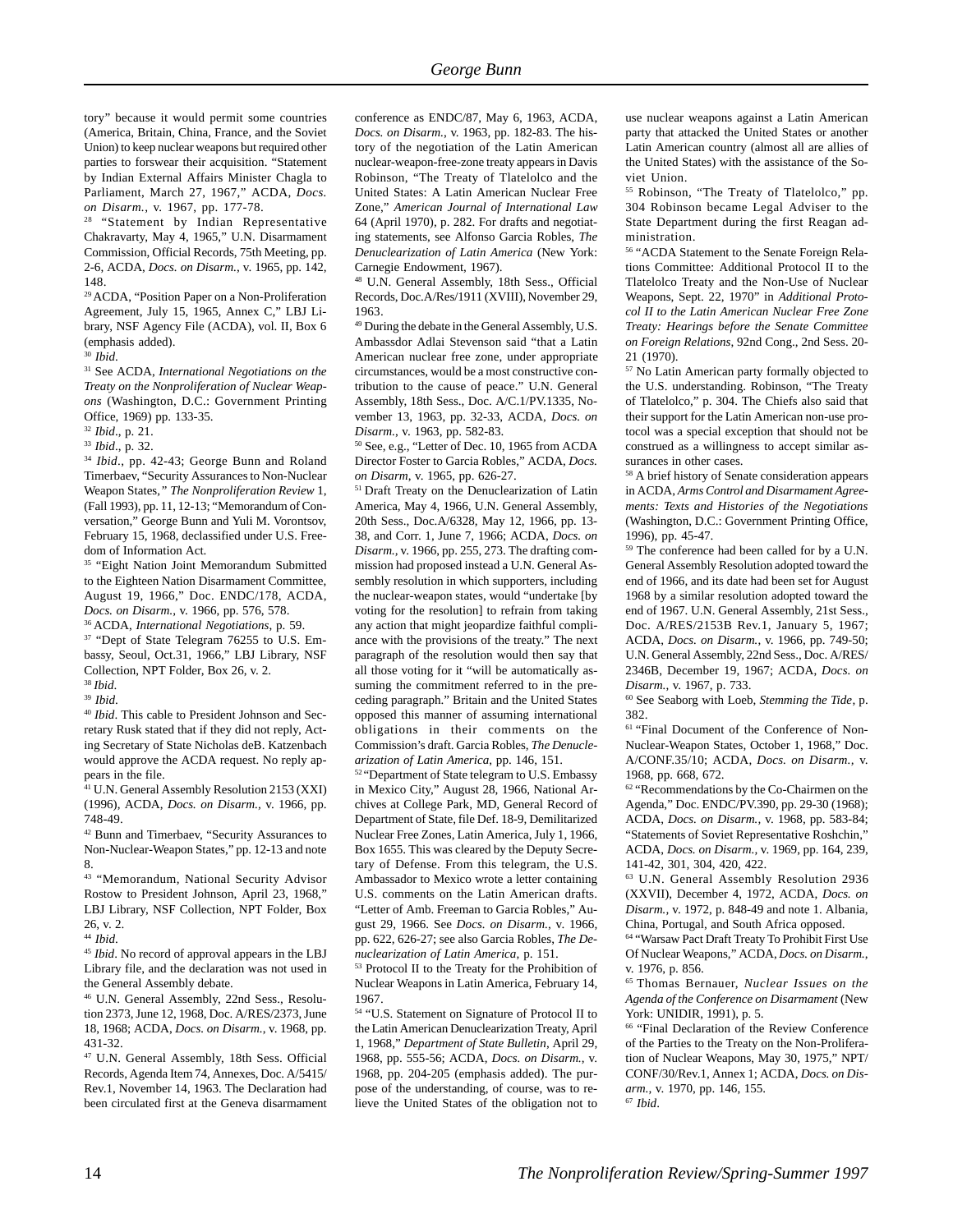tory" because it would permit some countries (America, Britain, China, France, and the Soviet Union) to keep nuclear weapons but required other parties to forswear their acquisition. "Statement by Indian External Affairs Minister Chagla to Parliament, March 27, 1967," ACDA, *Docs. on Disarm.,* v. 1967, pp. 177-78.

<sup>28</sup> "Statement by Indian Representative Chakravarty, May 4, 1965," U.N. Disarmament Commission, Official Records, 75th Meeting, pp. 2-6, ACDA, *Docs. on Disarm.*, v. 1965, pp. 142, 148.

29 ACDA, "Position Paper on a Non-Proliferation Agreement, July 15, 1965, Annex C," LBJ Library, NSF Agency File (ACDA), vol. II, Box 6 (emphasis added).

<sup>30</sup> *Ibid*.

31 See ACDA, *International Negotiations on the Treaty on the Nonproliferation of Nuclear Weapons* (Washington, D.C.: Government Printing Office, 1969) pp. 133-35.

<sup>32</sup> *Ibid*., p. 21.

<sup>33</sup> *Ibid*., p. 32.

<sup>34</sup> *Ibid*., pp. 42-43; George Bunn and Roland Timerbaev, "Security Assurances to Non-Nuclear Weapon States*," The Nonproliferation Review* 1, (Fall 1993), pp. 11, 12-13; "Memorandum of Conversation," George Bunn and Yuli M. Vorontsov, February 15, 1968, declassified under U.S. Freedom of Information Act.

<sup>35</sup> "Eight Nation Joint Memorandum Submitted to the Eighteen Nation Disarmament Committee, August 19, 1966," Doc. ENDC/178, ACDA, *Docs. on Disarm.,* v. 1966, pp. 576, 578.

36 ACDA, *International Negotiations*, p. 59.

<sup>37</sup> "Dept of State Telegram 76255 to U.S. Embassy, Seoul, Oct.31, 1966," LBJ Library, NSF Collection, NPT Folder, Box 26, v. 2. <sup>38</sup>*Ibid*.

<sup>39</sup> *Ibid*.

<sup>40</sup> *Ibid*. This cable to President Johnson and Secretary Rusk stated that if they did not reply, Acting Secretary of State Nicholas deB. Katzenbach would approve the ACDA request. No reply ap-

pears in the file. 41 U.N. General Assembly Resolution 2153 (XXI) (1996), ACDA, *Docs. on Disarm.,* v. 1966, pp. 748-49.

42 Bunn and Timerbaev, "Security Assurances to Non-Nuclear-Weapon States," pp. 12-13 and note 8.

43 "Memorandum, National Security Advisor Rostow to President Johnson, April 23, 1968," LBJ Library, NSF Collection, NPT Folder, Box 26, v. 2.

<sup>44</sup> *Ibid*.

<sup>45</sup> *Ibid*. No record of approval appears in the LBJ Library file, and the declaration was not used in the General Assembly debate.

46 U.N. General Assembly, 22nd Sess., Resolution 2373, June 12, 1968, Doc. A/RES/2373, June 18, 1968; ACDA, *Docs. on Disarm.*, v. 1968, pp. 431-32.

47 U.N. General Assembly, 18th Sess. Official Records, Agenda Item 74, Annexes, Doc. A/5415/ Rev.1, November 14, 1963. The Declaration had been circulated first at the Geneva disarmament

conference as ENDC/87, May 6, 1963, ACDA, *Docs. on Disarm.*, v. 1963, pp. 182-83. The history of the negotiation of the Latin American nuclear-weapon-free-zone treaty appears in Davis Robinson, "The Treaty of Tlatelolco and the United States: A Latin American Nuclear Free Zone," *American Journal of International Law* 64 (April 1970), p. 282. For drafts and negotiating statements, see Alfonso Garcia Robles, *The Denuclearization of Latin America* (New York: Carnegie Endowment, 1967).

48 U.N. General Assembly, 18th Sess., Official Records, Doc.A/Res/1911 (XVIII), November 29, 1963.

49 During the debate in the General Assembly, U.S. Ambassdor Adlai Stevenson said "that a Latin American nuclear free zone, under appropriate circumstances, would be a most constructive contribution to the cause of peace." U.N. General Assembly, 18th Sess., Doc. A/C.1/PV.1335, November 13, 1963, pp. 32-33, ACDA, *Docs. on Disarm.*, v. 1963, pp. 582-83.

50 See, e.g., "Letter of Dec. 10, 1965 from ACDA Director Foster to Garcia Robles," ACDA, *Docs. on Disarm*, v. 1965, pp. 626-27.

<sup>51</sup> Draft Treaty on the Denuclearization of Latin America, May 4, 1966, U.N. General Assembly, 20th Sess., Doc.A/6328, May 12, 1966, pp. 13- 38, and Corr. 1, June 7, 1966; ACDA, *Docs. on Disarm.,* v. 1966, pp. 255, 273. The drafting commission had proposed instead a U.N. General Assembly resolution in which supporters, including the nuclear-weapon states, would "undertake [by voting for the resolution] to refrain from taking any action that might jeopardize faithful compliance with the provisions of the treaty." The next paragraph of the resolution would then say that all those voting for it "will be automatically assuming the commitment referred to in the preceding paragraph." Britain and the United States opposed this manner of assuming international obligations in their comments on the Commission's draft. Garcia Robles, *The Denuclearization of Latin America*, pp. 146, 151.

<sup>52</sup> "Department of State telegram to U.S. Embassy in Mexico City," August 28, 1966, National Archives at College Park, MD, General Record of Department of State, file Def. 18-9, Demilitarized Nuclear Free Zones, Latin America, July 1, 1966, Box 1655. This was cleared by the Deputy Secretary of Defense. From this telegram, the U.S. Ambassador to Mexico wrote a letter containing U.S. comments on the Latin American drafts. "Letter of Amb. Freeman to Garcia Robles," August 29, 1966. See *Docs. on Disarm.*, v. 1966, pp. 622, 626-27; see also Garcia Robles, *The Denuclearization of Latin America*, p. 151.

53 Protocol II to the Treaty for the Prohibition of Nuclear Weapons in Latin America, February 14, 1967.

54 "U.S. Statement on Signature of Protocol II to the Latin American Denuclearization Treaty, April 1, 1968," *Department of State Bulletin*, April 29, 1968, pp. 555-56; ACDA, *Docs. on Disarm.*, v. 1968, pp. 204-205 (emphasis added). The purpose of the understanding, of course, was to relieve the United States of the obligation not to

use nuclear weapons against a Latin American party that attacked the United States or another Latin American country (almost all are allies of the United States) with the assistance of the Soviet Union.

55 Robinson, "The Treaty of Tlatelolco," pp. 304 Robinson became Legal Adviser to the State Department during the first Reagan administration.

56 "ACDA Statement to the Senate Foreign Relations Committee: Additional Protocol II to the Tlatelolco Treaty and the Non-Use of Nuclear Weapons, Sept. 22, 1970" in *Additional Protocol II to the Latin American Nuclear Free Zone Treaty: Hearings before the Senate Committee on Foreign Relations*, 92nd Cong., 2nd Sess. 20- 21 (1970).

57 No Latin American party formally objected to the U.S. understanding. Robinson, "The Treaty of Tlatelolco," p. 304. The Chiefs also said that their support for the Latin American non-use protocol was a special exception that should not be construed as a willingness to accept similar assurances in other cases.

58 A brief history of Senate consideration appears in ACDA, *Arms Control and Disarmament Agreements: Texts and Histories of the Negotiations* (Washington, D.C.: Government Printing Office, 1996), pp. 45-47.

59 The conference had been called for by a U.N. General Assembly Resolution adopted toward the end of 1966, and its date had been set for August 1968 by a similar resolution adopted toward the end of 1967. U.N. General Assembly, 21st Sess., Doc. A/RES/2153B Rev.1, January 5, 1967; ACDA, *Docs. on Disarm.*, v. 1966, pp. 749-50; U.N. General Assembly, 22nd Sess., Doc. A/RES/ 2346B, December 19, 1967; ACDA, *Docs. on Disarm.*, v. 1967, p. 733.

60 See Seaborg with Loeb, *Stemming the Tide*, p. 382.

61 "Final Document of the Conference of Non-Nuclear-Weapon States, October 1, 1968," Doc. A/CONF.35/10; ACDA, *Docs. on Disarm.,* v. 1968, pp. 668, 672.

62 "Recommendations by the Co-Chairmen on the Agenda," Doc. ENDC/PV.390, pp. 29-30 (1968); ACDA, *Docs. on Disarm.,* v. 1968, pp. 583-84; "Statements of Soviet Representative Roshchin," ACDA, *Docs. on Disarm.,* v. 1969, pp. 164, 239, 141-42, 301, 304, 420, 422.

63 U.N. General Assembly Resolution 2936 (XXVII), December 4, 1972, ACDA, *Docs. on Disarm.,* v. 1972, p. 848-49 and note 1. Albania, China, Portugal, and South Africa opposed.

64 "Warsaw Pact Draft Treaty To Prohibit First Use Of Nuclear Weapons," ACDA, *Docs. on Disarm.*, v. 1976, p. 856.

65 Thomas Bernauer, *Nuclear Issues on the Agenda of the Conference on Disarmament* (New York: UNIDIR, 1991), p. 5.

66 "Final Declaration of the Review Conference of the Parties to the Treaty on the Non-Proliferation of Nuclear Weapons, May 30, 1975," NPT/ CONF/30/Rev.1, Annex 1; ACDA, *Docs. on Disarm.,* v. 1970, pp. 146, 155.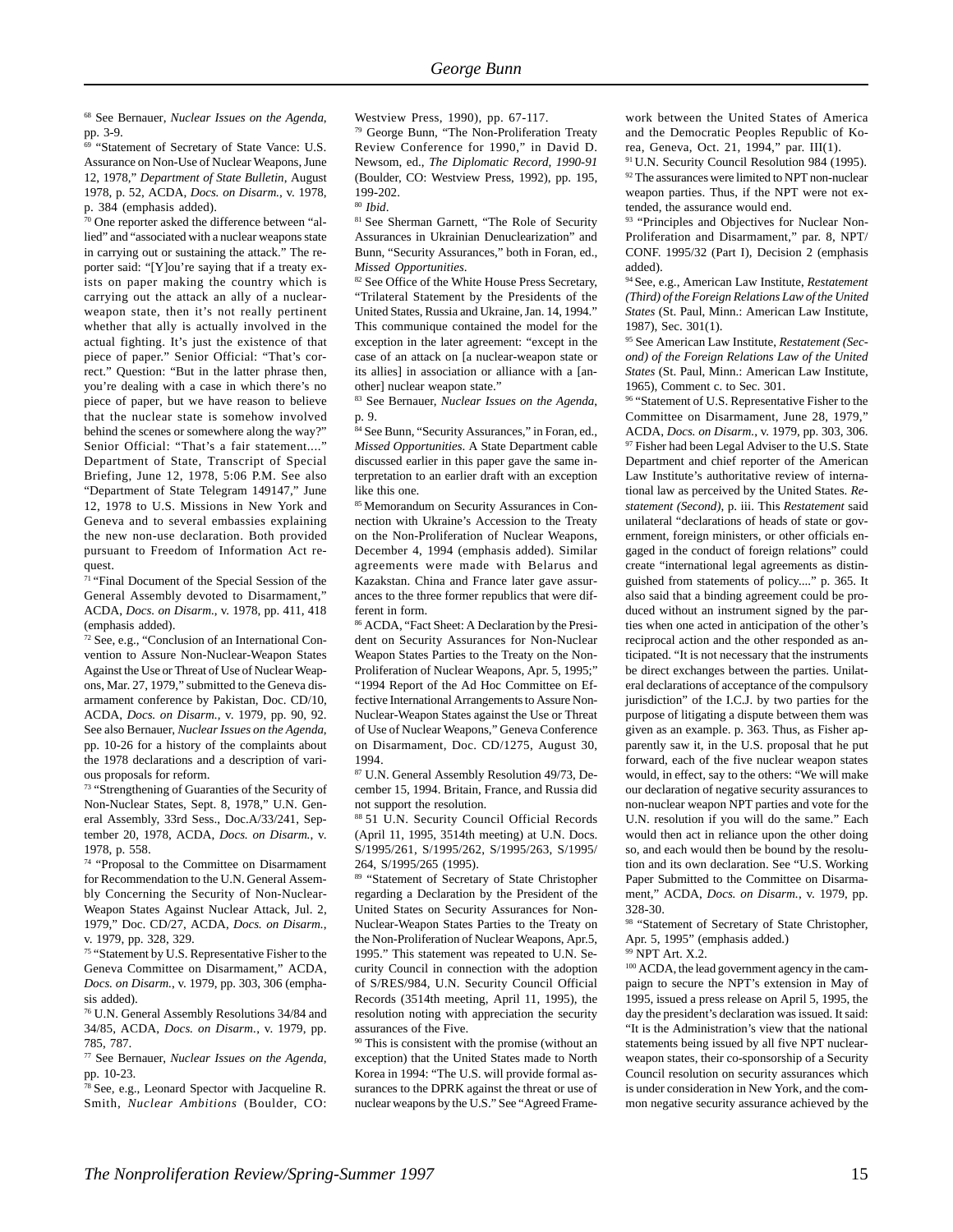68 See Bernauer, *Nuclear Issues on the Agenda*, pp. 3-9.

69 "Statement of Secretary of State Vance: U.S. Assurance on Non-Use of Nuclear Weapons, June 12, 1978," *Department of State Bulletin*, August 1978, p. 52, ACDA, *Docs. on Disarm.,* v. 1978, p. 384 (emphasis added).

70 One reporter asked the difference between "allied" and "associated with a nuclear weapons state in carrying out or sustaining the attack." The reporter said: "[Y]ou're saying that if a treaty exists on paper making the country which is carrying out the attack an ally of a nuclearweapon state, then it's not really pertinent whether that ally is actually involved in the actual fighting. It's just the existence of that piece of paper." Senior Official: "That's correct." Question: "But in the latter phrase then, you're dealing with a case in which there's no piece of paper, but we have reason to believe that the nuclear state is somehow involved behind the scenes or somewhere along the way?" Senior Official: "That's a fair statement...." Department of State, Transcript of Special Briefing, June 12, 1978, 5:06 P.M. See also "Department of State Telegram 149147," June 12, 1978 to U.S. Missions in New York and Geneva and to several embassies explaining the new non-use declaration. Both provided pursuant to Freedom of Information Act request.

<sup>71</sup> "Final Document of the Special Session of the General Assembly devoted to Disarmament," ACDA, *Docs. on Disarm.*, v. 1978, pp. 411, 418 (emphasis added).

72 See, e.g., "Conclusion of an International Convention to Assure Non-Nuclear-Weapon States Against the Use or Threat of Use of Nuclear Weapons, Mar. 27, 1979," submitted to the Geneva disarmament conference by Pakistan, Doc. CD/10, ACDA, *Docs. on Disarm.,* v. 1979, pp. 90, 92. See also Bernauer, *Nuclear Issues on the Agenda*, pp. 10-26 for a history of the complaints about the 1978 declarations and a description of various proposals for reform.

73 "Strengthening of Guaranties of the Security of Non-Nuclear States, Sept. 8, 1978," U.N. General Assembly, 33rd Sess., Doc.A/33/241, September 20, 1978, ACDA, *Docs. on Disarm.*, v. 1978, p. 558.

74 "Proposal to the Committee on Disarmament for Recommendation to the U.N. General Assembly Concerning the Security of Non-Nuclear-Weapon States Against Nuclear Attack, Jul. 2, 1979," Doc. CD/27, ACDA, *Docs. on Disarm.*, v. 1979, pp. 328, 329.

<sup>75</sup> "Statement by U.S. Representative Fisher to the Geneva Committee on Disarmament," ACDA, *Docs. on Disarm.*, v. 1979, pp. 303, 306 (emphasis added).

76 U.N. General Assembly Resolutions 34/84 and 34/85, ACDA, *Docs. on Disarm.*, v. 1979, pp. 785, 787.

77 See Bernauer, *Nuclear Issues on the Agenda*, pp. 10-23.

78 See, e.g., Leonard Spector with Jacqueline R. Smith, *Nuclear Ambitions* (Boulder, CO: Westview Press, 1990), pp. 67-117.

79 George Bunn, "The Non-Proliferation Treaty Review Conference for 1990," in David D. Newsom, ed., *The Diplomatic Record, 1990-91* (Boulder, CO: Westview Press, 1992), pp. 195, 199-202.

<sup>80</sup> *Ibid*.

81 See Sherman Garnett, "The Role of Security Assurances in Ukrainian Denuclearization" and Bunn, "Security Assurances," both in Foran, ed., *Missed Opportunities*.

82 See Office of the White House Press Secretary, "Trilateral Statement by the Presidents of the United States, Russia and Ukraine, Jan. 14, 1994." This communique contained the model for the exception in the later agreement: "except in the case of an attack on [a nuclear-weapon state or its allies] in association or alliance with a [another] nuclear weapon state."

83 See Bernauer, *Nuclear Issues on the Agenda*, p. 9.

84 See Bunn, "Security Assurances," in Foran, ed., *Missed Opportunities*. A State Department cable discussed earlier in this paper gave the same interpretation to an earlier draft with an exception like this one.

85 Memorandum on Security Assurances in Connection with Ukraine's Accession to the Treaty on the Non-Proliferation of Nuclear Weapons, December 4, 1994 (emphasis added). Similar agreements were made with Belarus and Kazakstan. China and France later gave assurances to the three former republics that were different in form.

86 ACDA, "Fact Sheet: A Declaration by the President on Security Assurances for Non-Nuclear Weapon States Parties to the Treaty on the Non-Proliferation of Nuclear Weapons, Apr. 5, 1995;" "1994 Report of the Ad Hoc Committee on Effective International Arrangements to Assure Non-Nuclear-Weapon States against the Use or Threat of Use of Nuclear Weapons," Geneva Conference on Disarmament, Doc. CD/1275, August 30, 1994.

87 U.N. General Assembly Resolution 49/73, December 15, 1994. Britain, France, and Russia did not support the resolution.

88 51 U.N. Security Council Official Records (April 11, 1995, 3514th meeting) at U.N. Docs. S/1995/261, S/1995/262, S/1995/263, S/1995/ 264, S/1995/265 (1995).

89 "Statement of Secretary of State Christopher regarding a Declaration by the President of the United States on Security Assurances for Non-Nuclear-Weapon States Parties to the Treaty on the Non-Proliferation of Nuclear Weapons, Apr.5, 1995." This statement was repeated to U.N. Security Council in connection with the adoption of S/RES/984, U.N. Security Council Official Records (3514th meeting, April 11, 1995), the resolution noting with appreciation the security assurances of the Five.

90 This is consistent with the promise (without an exception) that the United States made to North Korea in 1994: "The U.S. will provide formal assurances to the DPRK against the threat or use of nuclear weapons by the U.S." See "Agreed Framework between the United States of America and the Democratic Peoples Republic of Korea, Geneva, Oct. 21, 1994," par. III(1).

<sup>91</sup> U.N. Security Council Resolution 984 (1995). <sup>92</sup> The assurances were limited to NPT non-nuclear weapon parties. Thus, if the NPT were not extended, the assurance would end.

<sup>93</sup> "Principles and Objectives for Nuclear Non-Proliferation and Disarmament," par. 8, NPT/ CONF. 1995/32 (Part I), Decision 2 (emphasis added).

94 See, e.g., American Law Institute, *Restatement (Third) of the Foreign Relations Law of the United States* (St. Paul, Minn.: American Law Institute, 1987), Sec. 301(1).

95 See American Law Institute, *Restatement (Second) of the Foreign Relations Law of the United States* (St. Paul, Minn.: American Law Institute, 1965), Comment c. to Sec. 301.

<sup>96</sup> "Statement of U.S. Representative Fisher to the Committee on Disarmament, June 28, 1979," ACDA, *Docs. on Disarm.*, v. 1979, pp. 303, 306. <sup>97</sup> Fisher had been Legal Adviser to the U.S. State Department and chief reporter of the American Law Institute's authoritative review of international law as perceived by the United States. *Restatement (Second)*, p. iii. This *Restatement* said unilateral "declarations of heads of state or government, foreign ministers, or other officials engaged in the conduct of foreign relations" could create "international legal agreements as distinguished from statements of policy...." p. 365. It also said that a binding agreement could be produced without an instrument signed by the parties when one acted in anticipation of the other's reciprocal action and the other responded as anticipated. "It is not necessary that the instruments be direct exchanges between the parties. Unilateral declarations of acceptance of the compulsory jurisdiction" of the I.C.J. by two parties for the purpose of litigating a dispute between them was given as an example. p. 363. Thus, as Fisher apparently saw it, in the U.S. proposal that he put forward, each of the five nuclear weapon states would, in effect, say to the others: "We will make our declaration of negative security assurances to non-nuclear weapon NPT parties and vote for the U.N. resolution if you will do the same." Each would then act in reliance upon the other doing so, and each would then be bound by the resolution and its own declaration. See "U.S. Working Paper Submitted to the Committee on Disarmament," ACDA, *Docs. on Disarm.*, v. 1979, pp. 328-30.

<sup>98</sup> "Statement of Secretary of State Christopher, Apr. 5, 1995" (emphasis added.)

99 NPT Art. X.2.

<sup>100</sup> ACDA, the lead government agency in the campaign to secure the NPT's extension in May of 1995, issued a press release on April 5, 1995, the day the president's declaration was issued. It said: "It is the Administration's view that the national statements being issued by all five NPT nuclearweapon states, their co-sponsorship of a Security Council resolution on security assurances which is under consideration in New York, and the common negative security assurance achieved by the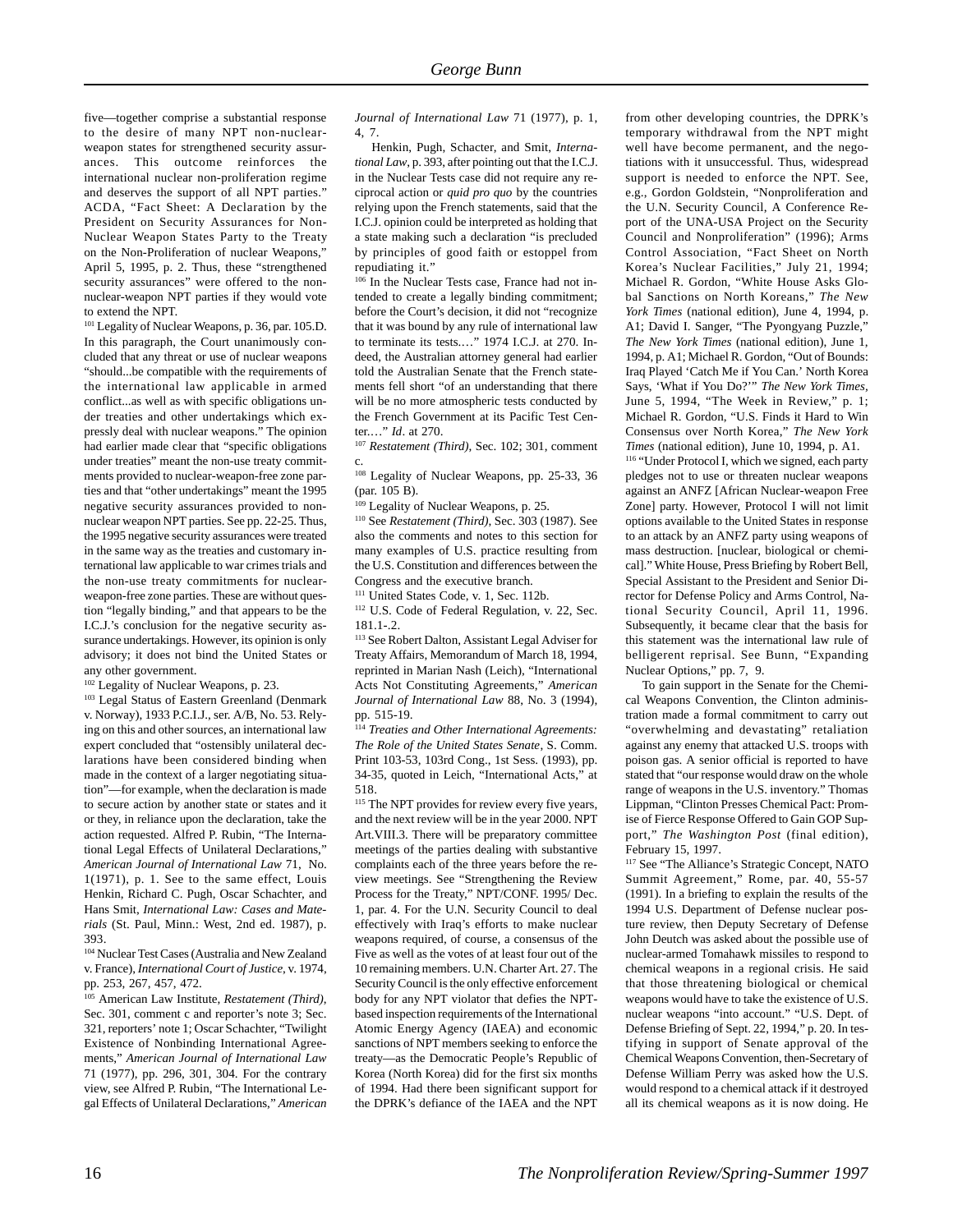five—together comprise a substantial response to the desire of many NPT non-nuclearweapon states for strengthened security assurances. This outcome reinforces the international nuclear non-proliferation regime and deserves the support of all NPT parties." ACDA, "Fact Sheet: A Declaration by the President on Security Assurances for Non-Nuclear Weapon States Party to the Treaty on the Non-Proliferation of nuclear Weapons," April 5, 1995, p. 2. Thus, these "strengthened security assurances" were offered to the nonnuclear-weapon NPT parties if they would vote to extend the NPT.

101 Legality of Nuclear Weapons, p. 36, par. 105.D. In this paragraph, the Court unanimously concluded that any threat or use of nuclear weapons "should...be compatible with the requirements of the international law applicable in armed conflict...as well as with specific obligations under treaties and other undertakings which expressly deal with nuclear weapons." The opinion had earlier made clear that "specific obligations under treaties" meant the non-use treaty commitments provided to nuclear-weapon-free zone parties and that "other undertakings" meant the 1995 negative security assurances provided to nonnuclear weapon NPT parties. See pp. 22-25. Thus, the 1995 negative security assurances were treated in the same way as the treaties and customary international law applicable to war crimes trials and the non-use treaty commitments for nuclearweapon-free zone parties. These are without question "legally binding," and that appears to be the I.C.J.'s conclusion for the negative security assurance undertakings. However, its opinion is only advisory; it does not bind the United States or any other government.

102 Legality of Nuclear Weapons, p. 23.

103 Legal Status of Eastern Greenland (Denmark v. Norway), 1933 P.C.I.J., ser. A/B, No. 53. Relying on this and other sources, an international law expert concluded that "ostensibly unilateral declarations have been considered binding when made in the context of a larger negotiating situation"—for example, when the declaration is made to secure action by another state or states and it or they, in reliance upon the declaration, take the action requested. Alfred P. Rubin, "The International Legal Effects of Unilateral Declarations," *American Journal of International Law* 71, No. 1(1971), p. 1. See to the same effect, Louis Henkin, Richard C. Pugh, Oscar Schachter, and Hans Smit, *International Law: Cases and Materials* (St. Paul, Minn.: West, 2nd ed. 1987), p. 393.

104 Nuclear Test Cases (Australia and New Zealand v. France), *International Court of Justice*, v. 1974, pp. 253, 267, 457, 472.

105 American Law Institute, *Restatement (Third)*, Sec. 301, comment c and reporter's note 3; Sec. 321, reporters' note 1; Oscar Schachter, "Twilight Existence of Nonbinding International Agreements," *American Journal of International Law* 71 (1977), pp. 296, 301, 304. For the contrary view, see Alfred P. Rubin, "The International Legal Effects of Unilateral Declarations," *American* *Journal of International Law* 71 (1977), p. 1, 4, 7.

Henkin, Pugh, Schacter, and Smit, *International Law*, p. 393, after pointing out that the I.C.J. in the Nuclear Tests case did not require any reciprocal action or *quid pro quo* by the countries relying upon the French statements, said that the I.C.J. opinion could be interpreted as holding that a state making such a declaration "is precluded by principles of good faith or estoppel from repudiating it."

106 In the Nuclear Tests case, France had not intended to create a legally binding commitment; before the Court's decision, it did not "recognize that it was bound by any rule of international law to terminate its tests.…" 1974 I.C.J. at 270. Indeed, the Australian attorney general had earlier told the Australian Senate that the French statements fell short "of an understanding that there will be no more atmospheric tests conducted by the French Government at its Pacific Test Center.…" *Id*. at 270.

<sup>107</sup> *Restatement (Third)*, Sec. 102; 301, comment c.

108 Legality of Nuclear Weapons, pp. 25-33, 36 (par. 105 B).

109 Legality of Nuclear Weapons, p. 25.

110 See *Restatement (Third)*, Sec. 303 (1987). See also the comments and notes to this section for many examples of U.S. practice resulting from the U.S. Constitution and differences between the Congress and the executive branch.

111 United States Code, v. 1, Sec. 112b.

112 U.S. Code of Federal Regulation, v. 22, Sec. 181.1-.2.

113 See Robert Dalton, Assistant Legal Adviser for Treaty Affairs, Memorandum of March 18, 1994, reprinted in Marian Nash (Leich), "International Acts Not Constituting Agreements," *American Journal of International Law* 88, No. 3 (1994), pp. 515-19.

<sup>114</sup> *Treaties and Other International Agreements: The Role of the United States Senate*, S. Comm. Print 103-53, 103rd Cong., 1st Sess. (1993), pp. 34-35, quoted in Leich, "International Acts," at 518.

<sup>115</sup> The NPT provides for review every five years, and the next review will be in the year 2000. NPT Art.VIII.3. There will be preparatory committee meetings of the parties dealing with substantive complaints each of the three years before the review meetings. See "Strengthening the Review Process for the Treaty," NPT/CONF. 1995/ Dec. 1, par. 4. For the U.N. Security Council to deal effectively with Iraq's efforts to make nuclear weapons required, of course, a consensus of the Five as well as the votes of at least four out of the 10 remaining members. U.N. Charter Art. 27. The Security Council is the only effective enforcement body for any NPT violator that defies the NPTbased inspection requirements of the International Atomic Energy Agency (IAEA) and economic sanctions of NPT members seeking to enforce the treaty—as the Democratic People's Republic of Korea (North Korea) did for the first six months of 1994. Had there been significant support for the DPRK's defiance of the IAEA and the NPT

from other developing countries, the DPRK's temporary withdrawal from the NPT might well have become permanent, and the negotiations with it unsuccessful. Thus, widespread support is needed to enforce the NPT. See, e.g., Gordon Goldstein, "Nonproliferation and the U.N. Security Council, A Conference Report of the UNA-USA Project on the Security Council and Nonproliferation" (1996); Arms Control Association, "Fact Sheet on North Korea's Nuclear Facilities," July 21, 1994; Michael R. Gordon, "White House Asks Global Sanctions on North Koreans," *The New York Times* (national edition), June 4, 1994, p. A1; David I. Sanger, "The Pyongyang Puzzle," *The New York Times* (national edition), June 1, 1994, p. A1; Michael R. Gordon, "Out of Bounds: Iraq Played 'Catch Me if You Can.' North Korea Says, 'What if You Do?'" *The New York Times,* June 5, 1994, "The Week in Review," p. 1; Michael R. Gordon, "U.S. Finds it Hard to Win Consensus over North Korea," *The New York Times* (national edition), June 10, 1994, p. A1.

116 "Under Protocol I, which we signed, each party pledges not to use or threaten nuclear weapons against an ANFZ [African Nuclear-weapon Free Zone] party. However, Protocol I will not limit options available to the United States in response to an attack by an ANFZ party using weapons of mass destruction. [nuclear, biological or chemical]." White House, Press Briefing by Robert Bell, Special Assistant to the President and Senior Director for Defense Policy and Arms Control, National Security Council, April 11, 1996. Subsequently, it became clear that the basis for this statement was the international law rule of belligerent reprisal. See Bunn, "Expanding Nuclear Options," pp. 7, 9.

To gain support in the Senate for the Chemical Weapons Convention, the Clinton administration made a formal commitment to carry out "overwhelming and devastating" retaliation against any enemy that attacked U.S. troops with poison gas. A senior official is reported to have stated that "our response would draw on the whole range of weapons in the U.S. inventory." Thomas Lippman, "Clinton Presses Chemical Pact: Promise of Fierce Response Offered to Gain GOP Support," *The Washington Post* (final edition), February 15, 1997.

117 See "The Alliance's Strategic Concept, NATO Summit Agreement," Rome, par. 40, 55-57 (1991). In a briefing to explain the results of the 1994 U.S. Department of Defense nuclear posture review, then Deputy Secretary of Defense John Deutch was asked about the possible use of nuclear-armed Tomahawk missiles to respond to chemical weapons in a regional crisis. He said that those threatening biological or chemical weapons would have to take the existence of U.S. nuclear weapons "into account." "U.S. Dept. of Defense Briefing of Sept. 22, 1994," p. 20. In testifying in support of Senate approval of the Chemical Weapons Convention, then-Secretary of Defense William Perry was asked how the U.S. would respond to a chemical attack if it destroyed all its chemical weapons as it is now doing. He